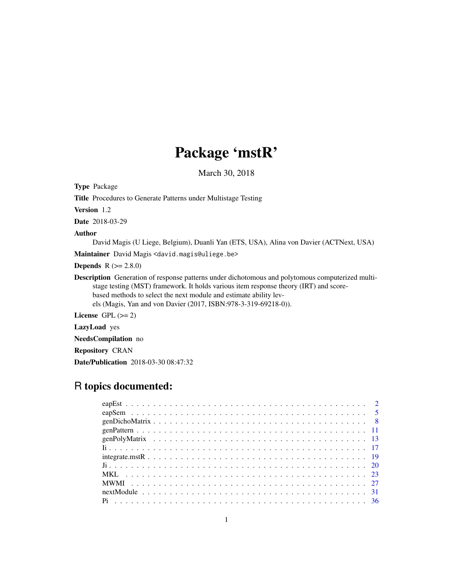# Package 'mstR'

March 30, 2018

<span id="page-0-0"></span>Type Package Title Procedures to Generate Patterns under Multistage Testing Version 1.2 Date 2018-03-29 Author David Magis (U Liege, Belgium), Duanli Yan (ETS, USA), Alina von Davier (ACTNext, USA) Maintainer David Magis <david.magis@uliege.be> **Depends** R  $(>= 2.8.0)$ Description Generation of response patterns under dichotomous and polytomous computerized multistage testing (MST) framework. It holds various item response theory (IRT) and scorebased methods to select the next module and estimate ability levels (Magis, Yan and von Davier (2017, ISBN:978-3-319-69218-0)).

License GPL  $(>= 2)$ 

LazyLoad yes

NeedsCompilation no

Repository CRAN

Date/Publication 2018-03-30 08:47:32

# R topics documented: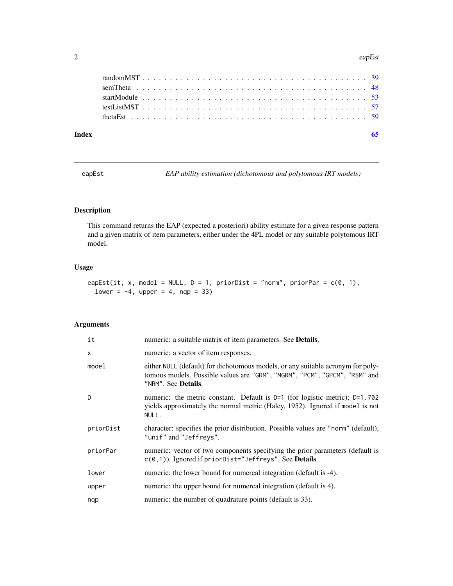#### <span id="page-1-0"></span>2 eapEst

| Index |  |  |  |  |  |  |  |  |  |  |  |  |  |  |  |  |  |  |  |  |  |
|-------|--|--|--|--|--|--|--|--|--|--|--|--|--|--|--|--|--|--|--|--|--|
|       |  |  |  |  |  |  |  |  |  |  |  |  |  |  |  |  |  |  |  |  |  |
|       |  |  |  |  |  |  |  |  |  |  |  |  |  |  |  |  |  |  |  |  |  |
|       |  |  |  |  |  |  |  |  |  |  |  |  |  |  |  |  |  |  |  |  |  |
|       |  |  |  |  |  |  |  |  |  |  |  |  |  |  |  |  |  |  |  |  |  |
|       |  |  |  |  |  |  |  |  |  |  |  |  |  |  |  |  |  |  |  |  |  |

<span id="page-1-1"></span>eapEst *EAP ability estimation (dichotomous and polytomous IRT models)*

# Description

This command returns the EAP (expected a posteriori) ability estimate for a given response pattern and a given matrix of item parameters, either under the 4PL model or any suitable polytomous IRT model.

# Usage

eapEst(it, x, model = NULL,  $D = 1$ , priorDist = "norm", priorPar =  $c(0, 1)$ , lower =  $-4$ , upper =  $4$ , nqp = 33)

# Arguments

| it        | numeric: a suitable matrix of item parameters. See <b>Details</b> .                                                                                                                         |
|-----------|---------------------------------------------------------------------------------------------------------------------------------------------------------------------------------------------|
| X         | numeric: a vector of item responses.                                                                                                                                                        |
| model     | either NULL (default) for dichotomous models, or any suitable acronym for poly-<br>tomous models. Possible values are "GRM", "MGRM", "PCM", "GPCM", "RSM" and<br>"NRM". See <b>Details.</b> |
| D         | numeric: the metric constant. Default is $D=1$ (for logistic metric); $D=1.702$<br>yields approximately the normal metric (Haley, 1952). Ignored if model is not<br>NULL.                   |
| priorDist | character: specifies the prior distribution. Possible values are "norm" (default),<br>"unif" and "Jeffreys".                                                                                |
| priorPar  | numeric: vector of two components specifying the prior parameters (default is<br>$c(0,1)$ ). Ignored if priorDist="Jeffreys". See Details.                                                  |
| lower     | numeric: the lower bound for numercal integration (default is -4).                                                                                                                          |
| upper     | numeric: the upper bound for numercal integration (default is 4).                                                                                                                           |
| nqp       | numeric: the number of quadrature points (default is 33).                                                                                                                                   |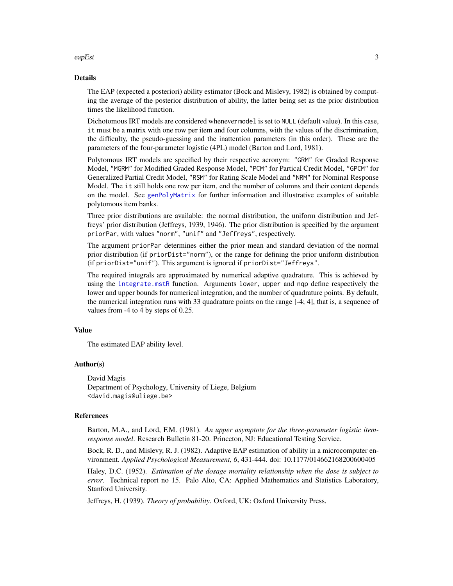#### <span id="page-2-0"></span>eapEst 3

#### Details

The EAP (expected a posteriori) ability estimator (Bock and Mislevy, 1982) is obtained by computing the average of the posterior distribution of ability, the latter being set as the prior distribution times the likelihood function.

Dichotomous IRT models are considered whenever model is set to NULL (default value). In this case, it must be a matrix with one row per item and four columns, with the values of the discrimination, the difficulty, the pseudo-guessing and the inattention parameters (in this order). These are the parameters of the four-parameter logistic (4PL) model (Barton and Lord, 1981).

Polytomous IRT models are specified by their respective acronym: "GRM" for Graded Response Model, "MGRM" for Modified Graded Response Model, "PCM" for Partical Credit Model, "GPCM" for Generalized Partial Credit Model, "RSM" for Rating Scale Model and "NRM" for Nominal Response Model. The it still holds one row per item, end the number of columns and their content depends on the model. See [genPolyMatrix](#page-12-1) for further information and illustrative examples of suitable polytomous item banks.

Three prior distributions are available: the normal distribution, the uniform distribution and Jeffreys' prior distribution (Jeffreys, 1939, 1946). The prior distribution is specified by the argument priorPar, with values "norm", "unif" and "Jeffreys", respectively.

The argument priorPar determines either the prior mean and standard deviation of the normal prior distribution (if priorDist="norm"), or the range for defining the prior uniform distribution (if priorDist="unif"). This argument is ignored if priorDist="Jeffreys".

The required integrals are approximated by numerical adaptive quadrature. This is achieved by using the [integrate.mstR](#page-18-1) function. Arguments lower, upper and nqp define respectively the lower and upper bounds for numerical integration, and the number of quadrature points. By default, the numerical integration runs with 33 quadrature points on the range [-4; 4], that is, a sequence of values from -4 to 4 by steps of 0.25.

# Value

The estimated EAP ability level.

#### Author(s)

David Magis Department of Psychology, University of Liege, Belgium <david.magis@uliege.be>

#### References

Barton, M.A., and Lord, F.M. (1981). *An upper asymptote for the three-parameter logistic itemresponse model*. Research Bulletin 81-20. Princeton, NJ: Educational Testing Service.

Bock, R. D., and Mislevy, R. J. (1982). Adaptive EAP estimation of ability in a microcomputer environment. *Applied Psychological Measurement, 6*, 431-444. doi: 10.1177/014662168200600405

Haley, D.C. (1952). *Estimation of the dosage mortality relationship when the dose is subject to error*. Technical report no 15. Palo Alto, CA: Applied Mathematics and Statistics Laboratory, Stanford University.

Jeffreys, H. (1939). *Theory of probability*. Oxford, UK: Oxford University Press.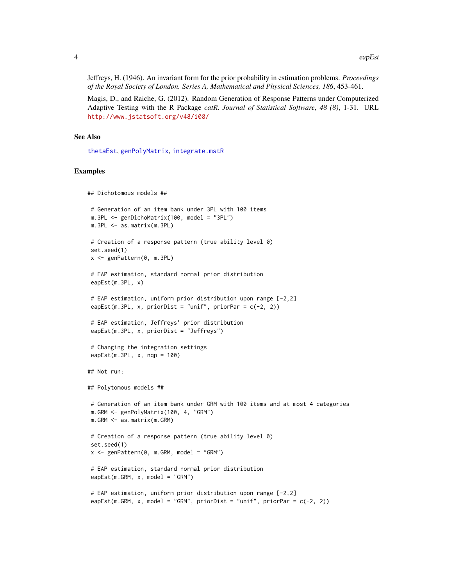<span id="page-3-0"></span>Jeffreys, H. (1946). An invariant form for the prior probability in estimation problems. *Proceedings of the Royal Society of London. Series A, Mathematical and Physical Sciences, 186*, 453-461.

Magis, D., and Raiche, G. (2012). Random Generation of Response Patterns under Computerized Adaptive Testing with the R Package *catR*. *Journal of Statistical Software*, *48 (8)*, 1-31. URL <http://www.jstatsoft.org/v48/i08/>

# See Also

[thetaEst](#page-58-1), [genPolyMatrix](#page-12-1), [integrate.mstR](#page-18-1)

# Examples

```
## Dichotomous models ##
# Generation of an item bank under 3PL with 100 items
m.3PL <- genDichoMatrix(100, model = "3PL")
m.3PL <- as.matrix(m.3PL)
# Creation of a response pattern (true ability level 0)
set.seed(1)
x <- genPattern(0, m.3PL)
# EAP estimation, standard normal prior distribution
eapEst(m.3PL, x)
# EAP estimation, uniform prior distribution upon range [-2,2]
eapEst(m.3PL, x, priorDist = "unif", priorPar = c(-2, 2))
# EAP estimation, Jeffreys' prior distribution
eapEst(m.3PL, x, priorDist = "Jeffreys")
# Changing the integration settings
eapEst(m.3PL, x, nqp = 100)## Not run:
## Polytomous models ##
# Generation of an item bank under GRM with 100 items and at most 4 categories
m.GRM <- genPolyMatrix(100, 4, "GRM")
m.GRM <- as.matrix(m.GRM)
# Creation of a response pattern (true ability level 0)
set.seed(1)
x \leq - genPattern(0, m.GRM, model = "GRM")
# EAP estimation, standard normal prior distribution
eapEst(m.GRM, x, model = "GRM")# EAP estimation, uniform prior distribution upon range [-2,2]
eapEst(m.GRM, x, model = "GRM", priorDist = "unif", priorPar = c(-2, 2))
```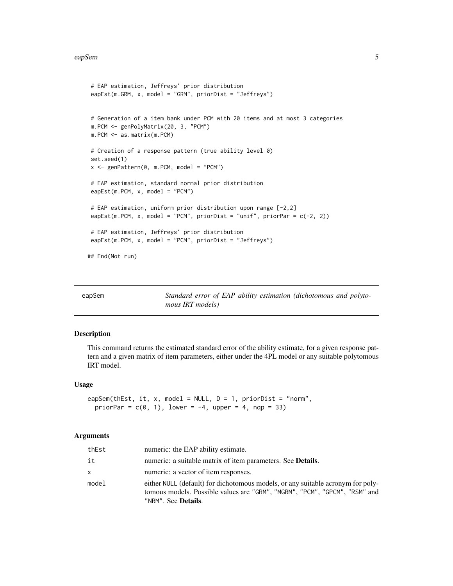#### <span id="page-4-0"></span>eapSem 55

```
# EAP estimation, Jeffreys' prior distribution
eapEst(m.GRM, x, model = "GRM", priorDist = "Jeffreys")
# Generation of a item bank under PCM with 20 items and at most 3 categories
m.PCM <- genPolyMatrix(20, 3, "PCM")
m.PCM <- as.matrix(m.PCM)
# Creation of a response pattern (true ability level 0)
set.seed(1)
x <- genPattern(0, m.PCM, model = "PCM")
# EAP estimation, standard normal prior distribution
eapEst(m.PCM, x, model = "PCM")
# EAP estimation, uniform prior distribution upon range [-2,2]
eapEst(m.PCM, x, model = "PCM", priorDist = "unif", priorPar = c(-2, 2))
# EAP estimation, Jeffreys' prior distribution
eapEst(m.PCM, x, model = "PCM", priorDist = "Jeffreys")
## End(Not run)
```
<span id="page-4-1"></span>

| eapSem | Standard error of EAP ability estimation (dichotomous and polyto- |
|--------|-------------------------------------------------------------------|
|        | <i>mous IRT models</i> )                                          |

# Description

This command returns the estimated standard error of the ability estimate, for a given response pattern and a given matrix of item parameters, either under the 4PL model or any suitable polytomous IRT model.

#### Usage

```
eapSem(thEst, it, x, model = NULL, D = 1, priorDist = "norm",
  priorPar = c(\emptyset, 1), lower = -4, upper = 4, nqp = 33)
```
#### Arguments

| thEst        | numeric: the EAP ability estimate.                                                                                                                                                           |
|--------------|----------------------------------------------------------------------------------------------------------------------------------------------------------------------------------------------|
| it           | numeric: a suitable matrix of item parameters. See <b>Details</b> .                                                                                                                          |
| $\mathsf{x}$ | numeric: a vector of item responses.                                                                                                                                                         |
| model        | either NULL (default) for dichotomous models, or any suitable acronym for poly-<br>tomous models. Possible values are "GRM", "MGRM", "PCM", "GPCM", "RSM" and<br>"NRM". See <b>Details</b> . |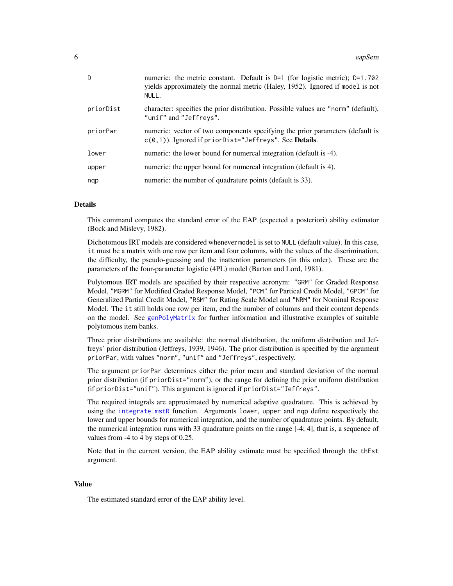<span id="page-5-0"></span>

| D         | numeric: the metric constant. Default is $D=1$ (for logistic metric); $D=1.702$<br>yields approximately the normal metric (Haley, 1952). Ignored if model is not<br>NULL. |
|-----------|---------------------------------------------------------------------------------------------------------------------------------------------------------------------------|
| priorDist | character: specifies the prior distribution. Possible values are "norm" (default),<br>"unif" and "Jeffreys".                                                              |
| priorPar  | numeric: vector of two components specifying the prior parameters (default is<br>$c(0,1)$ ). Ignored if priorDist="Jeffreys". See <b>Details</b> .                        |
| lower     | numeric: the lower bound for numercal integration (default is -4).                                                                                                        |
| upper     | numeric: the upper bound for numercal integration (default is 4).                                                                                                         |
| ngp       | numeric: the number of quadrature points (default is 33).                                                                                                                 |

# Details

This command computes the standard error of the EAP (expected a posteriori) ability estimator (Bock and Mislevy, 1982).

Dichotomous IRT models are considered whenever model is set to NULL (default value). In this case, it must be a matrix with one row per item and four columns, with the values of the discrimination, the difficulty, the pseudo-guessing and the inattention parameters (in this order). These are the parameters of the four-parameter logistic (4PL) model (Barton and Lord, 1981).

Polytomous IRT models are specified by their respective acronym: "GRM" for Graded Response Model, "MGRM" for Modified Graded Response Model, "PCM" for Partical Credit Model, "GPCM" for Generalized Partial Credit Model, "RSM" for Rating Scale Model and "NRM" for Nominal Response Model. The it still holds one row per item, end the number of columns and their content depends on the model. See [genPolyMatrix](#page-12-1) for further information and illustrative examples of suitable polytomous item banks.

Three prior distributions are available: the normal distribution, the uniform distribution and Jeffreys' prior distribution (Jeffreys, 1939, 1946). The prior distribution is specified by the argument priorPar, with values "norm", "unif" and "Jeffreys", respectively.

The argument priorPar determines either the prior mean and standard deviation of the normal prior distribution (if priorDist="norm"), or the range for defining the prior uniform distribution (if priorDist="unif"). This argument is ignored if priorDist="Jeffreys".

The required integrals are approximated by numerical adaptive quadrature. This is achieved by using the [integrate.mstR](#page-18-1) function. Arguments lower, upper and nqp define respectively the lower and upper bounds for numerical integration, and the number of quadrature points. By default, the numerical integration runs with 33 quadrature points on the range [-4; 4], that is, a sequence of values from -4 to 4 by steps of 0.25.

Note that in the current version, the EAP ability estimate must be specified through the thEst argument.

# Value

The estimated standard error of the EAP ability level.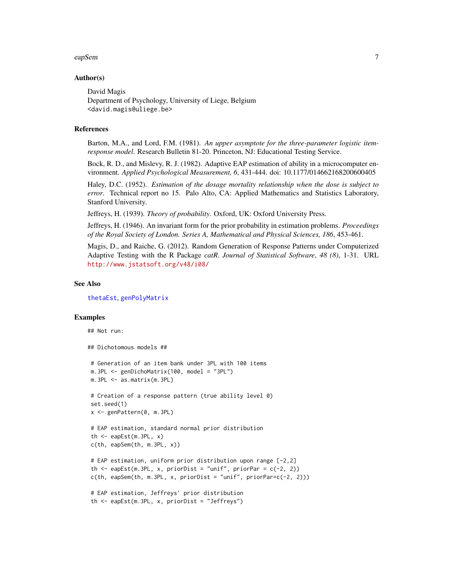#### <span id="page-6-0"></span>eapSem and the contract of the contract of the contract of the contract of the contract of the contract of the contract of the contract of the contract of the contract of the contract of the contract of the contract of the

#### Author(s)

David Magis Department of Psychology, University of Liege, Belgium <david.magis@uliege.be>

#### References

Barton, M.A., and Lord, F.M. (1981). *An upper asymptote for the three-parameter logistic itemresponse model*. Research Bulletin 81-20. Princeton, NJ: Educational Testing Service.

Bock, R. D., and Mislevy, R. J. (1982). Adaptive EAP estimation of ability in a microcomputer environment. *Applied Psychological Measurement, 6*, 431-444. doi: 10.1177/014662168200600405

Haley, D.C. (1952). *Estimation of the dosage mortality relationship when the dose is subject to error*. Technical report no 15. Palo Alto, CA: Applied Mathematics and Statistics Laboratory, Stanford University.

Jeffreys, H. (1939). *Theory of probability*. Oxford, UK: Oxford University Press.

Jeffreys, H. (1946). An invariant form for the prior probability in estimation problems. *Proceedings of the Royal Society of London. Series A, Mathematical and Physical Sciences, 186*, 453-461.

Magis, D., and Raiche, G. (2012). Random Generation of Response Patterns under Computerized Adaptive Testing with the R Package *catR*. *Journal of Statistical Software*, *48 (8)*, 1-31. URL <http://www.jstatsoft.org/v48/i08/>

#### See Also

[thetaEst](#page-58-1), [genPolyMatrix](#page-12-1)

#### Examples

```
## Not run:
## Dichotomous models ##
 # Generation of an item bank under 3PL with 100 items
m.3PL <- genDichoMatrix(100, model = "3PL")
m.3PL <- as.matrix(m.3PL)
 # Creation of a response pattern (true ability level 0)
 set.seed(1)
 x <- genPattern(0, m.3PL)
 # EAP estimation, standard normal prior distribution
 th \leq eapEst(m.3PL, x)
 c(th, eapSem(th, m.3PL, x))
 # EAP estimation, uniform prior distribution upon range [-2,2]
 th \leq eapEst(m.3PL, x, priorDist = "unif", priorPar = c(-2, 2))
 c(th, eapSem(th, m.3PL, x, priorDist = "unif", priorPar=c(-2, 2)))# EAP estimation, Jeffreys' prior distribution
 th <- eapEst(m.3PL, x, priorDist = "Jeffreys")
```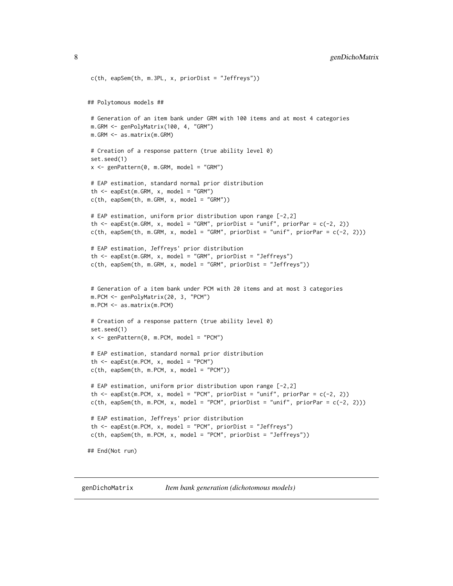```
c(th, eapSem(th, m.3PL, x, priorDist = "Jeffreys"))
## Polytomous models ##
# Generation of an item bank under GRM with 100 items and at most 4 categories
m.GRM <- genPolyMatrix(100, 4, "GRM")
m.GRM <- as.matrix(m.GRM)
# Creation of a response pattern (true ability level 0)
set.seed(1)
x \le - genPattern(0, m.GRM, model = "GRM")
# EAP estimation, standard normal prior distribution
th \leq eapEst(m.GRM, x, model = "GRM")
c(th, eapSem(th, m.GRM, x, model = "GRM")# EAP estimation, uniform prior distribution upon range [-2,2]
th \leq eapEst(m.GRM, x, model = "GRM", priorDist = "unif", priorPar = c(-2, 2))
c(th, eapSem(th, m.GRM, x, model = "GRM", priorDist = "unif", priorPar = <math>c(-2, 2)</math>)# EAP estimation, Jeffreys' prior distribution
th \leq eapEst(m.GRM, x, model = "GRM", priorDist = "Jeffreys")
c(th, eapSem(th, m.GRM, x, model = "GRM", priorDist = "Jeffreys"))
# Generation of a item bank under PCM with 20 items and at most 3 categories
m.PCM <- genPolyMatrix(20, 3, "PCM")
m.PCM <- as.matrix(m.PCM)
# Creation of a response pattern (true ability level 0)
set.seed(1)
x \leq genPattern(0, m.PCM, model = "PCM")
# EAP estimation, standard normal prior distribution
th \leq eapEst(m.PCM, x, model = "PCM")
c(th, eapSem(th, m.PCM, x, model = "PCM")# EAP estimation, uniform prior distribution upon range [-2,2]
th \leq eapEst(m.PCM, x, model = "PCM", priorDist = "unif", priorPar = c(-2, 2))
c(th, eapSem(th, m.PCM, x, model = "PCM", priorDist = "unif", priorPar = <math>c(-2, 2)</math>)# EAP estimation, Jeffreys' prior distribution
th <- eapEst(m.PCM, x, model = "PCM", priorDist = "Jeffreys")
c(th, eapSem(th, m.PCM, x, model = "PCM", priorDist = "Jeffreys"))## End(Not run)
```
<span id="page-7-1"></span>genDichoMatrix *Item bank generation (dichotomous models)*

<span id="page-7-0"></span>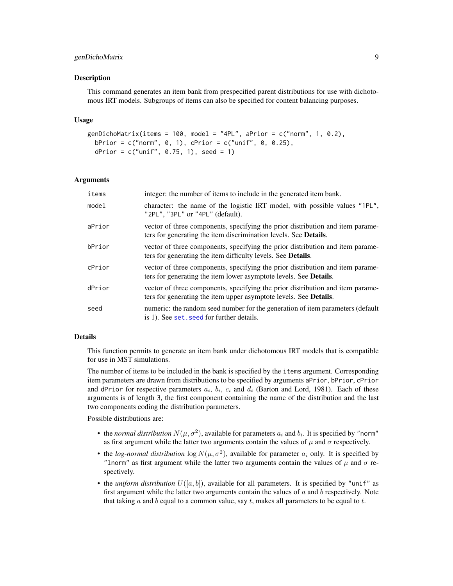# <span id="page-8-0"></span>genDichoMatrix 9

#### Description

This command generates an item bank from prespecified parent distributions for use with dichotomous IRT models. Subgroups of items can also be specified for content balancing purposes.

#### Usage

```
genDichoMatrix(items = 100, model = "4PL", aPrior = c("norm", 1, 0.2),
 bPrior = c("norm", 0, 1), cPrior = c("unif", 0, 0.25),dPrior = c("unif", 0.75, 1), seed = 1)
```
#### Arguments

| items  | integer: the number of items to include in the generated item bank.                                                                                         |
|--------|-------------------------------------------------------------------------------------------------------------------------------------------------------------|
| model  | character: the name of the logistic IRT model, with possible values "1PL",<br>"2PL", "3PL" or "4PL" (default).                                              |
| aPrior | vector of three components, specifying the prior distribution and item parame-<br>ters for generating the item discrimination levels. See <b>Details</b> .  |
| bPrior | vector of three components, specifying the prior distribution and item parame-<br>ters for generating the item difficulty levels. See <b>Details</b> .      |
| cPrior | vector of three components, specifying the prior distribution and item parame-<br>ters for generating the item lower asymptote levels. See <b>Details</b> . |
| dPrior | vector of three components, specifying the prior distribution and item parame-<br>ters for generating the item upper asymptote levels. See <b>Details</b> . |
| seed   | numeric: the random seed number for the generation of item parameters (default<br>is 1). See set, seed for further details.                                 |

#### Details

This function permits to generate an item bank under dichotomous IRT models that is compatible for use in MST simulations.

The number of items to be included in the bank is specified by the items argument. Corresponding item parameters are drawn from distributions to be specified by arguments aPrior, bPrior, cPrior and dPrior for respective parameters  $a_i$ ,  $b_i$ ,  $c_i$  and  $d_i$  (Barton and Lord, 1981). Each of these arguments is of length 3, the first component containing the name of the distribution and the last two components coding the distribution parameters.

Possible distributions are:

- the *normal distribution*  $N(\mu, \sigma^2)$ , available for parameters  $a_i$  and  $b_i$ . It is specified by "norm" as first argument while the latter two arguments contain the values of  $\mu$  and  $\sigma$  respectively.
- the *log-normal distribution*  $\log N(\mu, \sigma^2)$ , available for parameter  $a_i$  only. It is specified by "lnorm" as first argument while the latter two arguments contain the values of  $\mu$  and  $\sigma$  respectively.
- the *uniform distribution*  $U([a, b])$ , available for all parameters. It is specified by "unif" as first argument while the latter two arguments contain the values of  $a$  and  $b$  respectively. Note that taking  $a$  and  $b$  equal to a common value, say  $t$ , makes all parameters to be equal to  $t$ .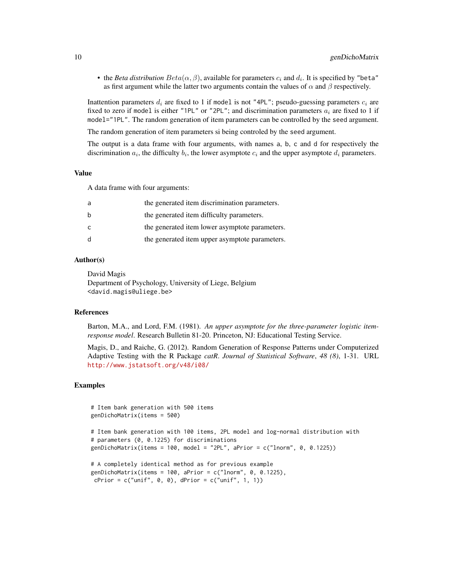• the *Beta distribution*  $Beta(\alpha, \beta)$ , available for parameters  $c_i$  and  $d_i$ . It is specified by "beta" as first argument while the latter two arguments contain the values of  $\alpha$  and  $\beta$  respectively.

Inattention parameters  $d_i$  are fixed to 1 if model is not "4PL"; pseudo-guessing parameters  $c_i$  are fixed to zero if model is either "1PL" or "2PL"; and discrimination parameters  $a_i$  are fixed to 1 if model="1PL". The random generation of item parameters can be controlled by the seed argument.

The random generation of item parameters si being controled by the seed argument.

The output is a data frame with four arguments, with names a, b, c and d for respectively the discrimination  $a_i$ , the difficulty  $b_i$ , the lower asymptote  $c_i$  and the upper asymptote  $d_i$  parameters.

#### Value

A data frame with four arguments:

| a            | the generated item discrimination parameters.  |
|--------------|------------------------------------------------|
| b            | the generated item difficulty parameters.      |
| C            | the generated item lower asymptote parameters. |
| <sub>d</sub> | the generated item upper asymptote parameters. |

# Author(s)

David Magis Department of Psychology, University of Liege, Belgium <david.magis@uliege.be>

# References

Barton, M.A., and Lord, F.M. (1981). *An upper asymptote for the three-parameter logistic itemresponse model*. Research Bulletin 81-20. Princeton, NJ: Educational Testing Service.

Magis, D., and Raiche, G. (2012). Random Generation of Response Patterns under Computerized Adaptive Testing with the R Package *catR*. *Journal of Statistical Software*, *48 (8)*, 1-31. URL <http://www.jstatsoft.org/v48/i08/>

#### Examples

```
# Item bank generation with 500 items
genDichoMatrix(items = 500)
# Item bank generation with 100 items, 2PL model and log-normal distribution with
# parameters (0, 0.1225) for discriminations
genDichoMatrix(items = 100, model = "2PL", aPrior = c("Inorm", 0, 0.1225))
# A completely identical method as for previous example
genDichoMatrix(items = 100, aPrior = c("Inorm", 0, 0.1225),
cPrior = c("unif", 0, 0), dPrior = c("unif", 1, 1))
```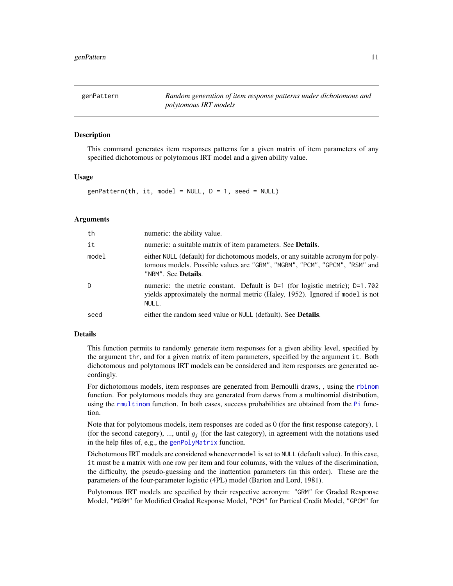<span id="page-10-1"></span><span id="page-10-0"></span>genPattern *Random generation of item response patterns under dichotomous and polytomous IRT models*

#### Description

This command generates item responses patterns for a given matrix of item parameters of any specified dichotomous or polytomous IRT model and a given ability value.

#### Usage

 $genPattern(th, it, model = NULL, D = 1, seed = NULL)$ 

#### Arguments

| th    | numeric: the ability value.                                                                                                                                                                  |
|-------|----------------------------------------------------------------------------------------------------------------------------------------------------------------------------------------------|
| it    | numeric: a suitable matrix of item parameters. See <b>Details</b> .                                                                                                                          |
| model | either NULL (default) for dichotomous models, or any suitable acronym for poly-<br>tomous models. Possible values are "GRM", "MGRM", "PCM", "GPCM", "RSM" and<br>"NRM". See <b>Details</b> . |
| -D    | numeric: the metric constant. Default is $D=1$ (for logistic metric); $D=1.702$<br>yields approximately the normal metric (Haley, 1952). Ignored if model is not<br>NULL.                    |
| seed  | either the random seed value or NULL (default). See <b>Details</b> .                                                                                                                         |

#### Details

This function permits to randomly generate item responses for a given ability level, specified by the argument thr, and for a given matrix of item parameters, specified by the argument it. Both dichotomous and polytomous IRT models can be considered and item responses are generated accordingly.

For dichotomous models, item responses are generated from Bernoulli draws, , using the [rbinom](#page-0-0) function. For polytomous models they are generated from darws from a multinomial distribution, using the [rmultinom](#page-0-0) function. In both cases, success probabilities are obtained from the [Pi](#page-35-1) function.

Note that for polytomous models, item responses are coded as 0 (for the first response category), 1 (for the second category), ..., until  $g_i$  (for the last category), in agreement with the notations used in the help files of, e.g., the [genPolyMatrix](#page-12-1) function.

Dichotomous IRT models are considered whenever model is set to NULL (default value). In this case, it must be a matrix with one row per item and four columns, with the values of the discrimination, the difficulty, the pseudo-guessing and the inattention parameters (in this order). These are the parameters of the four-parameter logistic (4PL) model (Barton and Lord, 1981).

Polytomous IRT models are specified by their respective acronym: "GRM" for Graded Response Model, "MGRM" for Modified Graded Response Model, "PCM" for Partical Credit Model, "GPCM" for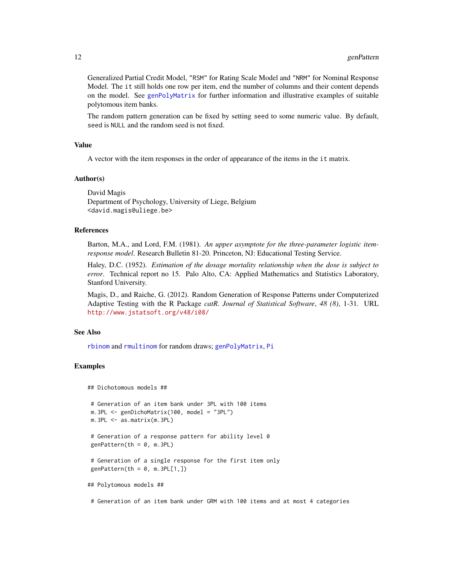<span id="page-11-0"></span>Generalized Partial Credit Model, "RSM" for Rating Scale Model and "NRM" for Nominal Response Model. The it still holds one row per item, end the number of columns and their content depends on the model. See [genPolyMatrix](#page-12-1) for further information and illustrative examples of suitable polytomous item banks.

The random pattern generation can be fixed by setting seed to some numeric value. By default, seed is NULL and the random seed is not fixed.

#### Value

A vector with the item responses in the order of appearance of the items in the it matrix.

#### Author(s)

David Magis Department of Psychology, University of Liege, Belgium <david.magis@uliege.be>

#### References

Barton, M.A., and Lord, F.M. (1981). *An upper asymptote for the three-parameter logistic itemresponse model*. Research Bulletin 81-20. Princeton, NJ: Educational Testing Service.

Haley, D.C. (1952). *Estimation of the dosage mortality relationship when the dose is subject to error*. Technical report no 15. Palo Alto, CA: Applied Mathematics and Statistics Laboratory, Stanford University.

Magis, D., and Raiche, G. (2012). Random Generation of Response Patterns under Computerized Adaptive Testing with the R Package *catR*. *Journal of Statistical Software*, *48 (8)*, 1-31. URL <http://www.jstatsoft.org/v48/i08/>

#### See Also

[rbinom](#page-0-0) and [rmultinom](#page-0-0) for random draws; [genPolyMatrix](#page-12-1), [Pi](#page-35-1)

# Examples

```
## Dichotomous models ##
# Generation of an item bank under 3PL with 100 items
m.3PL <- genDichoMatrix(100, model = "3PL")
m.3PL <- as.matrix(m.3PL)
# Generation of a response pattern for ability level 0
genPattern(th = 0, m.3PL)# Generation of a single response for the first item only
genPattern(th = 0, m.3PL[1,])## Polytomous models ##
```
# Generation of an item bank under GRM with 100 items and at most 4 categories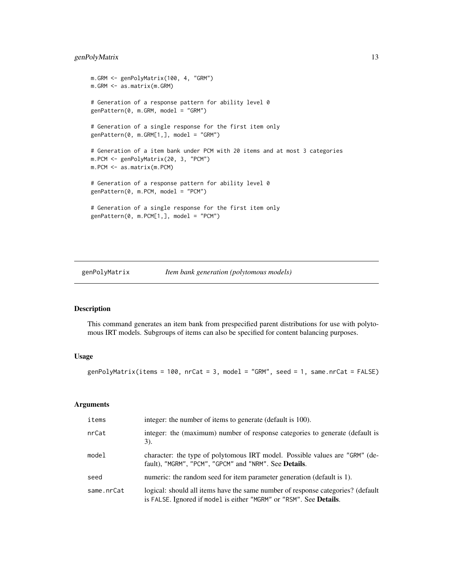# <span id="page-12-0"></span>genPolyMatrix 13

```
m.GRM <- genPolyMatrix(100, 4, "GRM")
m.GRM <- as.matrix(m.GRM)
# Generation of a response pattern for ability level 0
genPattern(0, m.GRM, model = "GRM")
# Generation of a single response for the first item only
genPattern(0, m.GRM[1,], model = "GRM")
# Generation of a item bank under PCM with 20 items and at most 3 categories
m.PCM <- genPolyMatrix(20, 3, "PCM")
m.PCM <- as.matrix(m.PCM)
# Generation of a response pattern for ability level 0
genPattern(0, m.PCM, model = "PCM")
# Generation of a single response for the first item only
genPattern(0, m.PCM[1,], model = "PCM")
```
<span id="page-12-1"></span>genPolyMatrix *Item bank generation (polytomous models)*

#### Description

This command generates an item bank from prespecified parent distributions for use with polytomous IRT models. Subgroups of items can also be specified for content balancing purposes.

#### Usage

genPolyMatrix(items = 100, nrCat = 3, model = "GRM", seed = 1, same.nrCat = FALSE)

#### Arguments

| items      | integer: the number of items to generate (default is 100).                                                                                                    |
|------------|---------------------------------------------------------------------------------------------------------------------------------------------------------------|
| nrCat      | integer: the (maximum) number of response categories to generate (default is<br>$3)$ .                                                                        |
| model      | character: the type of polytomous IRT model. Possible values are "GRM" (de-<br>fault), "MGRM", "PCM", "GPCM" and "NRM". See Details.                          |
| seed       | numeric: the random seed for item parameter generation (default is 1).                                                                                        |
| same.nrCat | logical: should all items have the same number of response categories? (default<br>is FALSE. Ignored if model is either "MGRM" or "RSM". See <b>Details</b> . |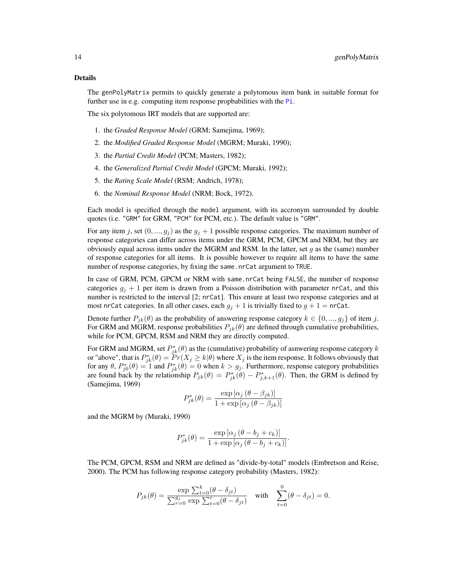#### <span id="page-13-0"></span>Details

The genPolyMatrix permits to quickly generate a polytomous item bank in suitable format for further use in e.g. computing item response propbabilities with the [Pi](#page-35-1).

The six polytomous IRT models that are supported are:

- 1. the *Graded Response Model* (GRM; Samejima, 1969);
- 2. the *Modified Graded Response Model* (MGRM; Muraki, 1990);
- 3. the *Partial Credit Model* (PCM; Masters, 1982);
- 4. the *Generalized Partial Credit Model* (GPCM; Muraki, 1992);
- 5. the *Rating Scale Model* (RSM; Andrich, 1978);
- 6. the *Nominal Response Model* (NRM; Bock, 1972).

Each model is specified through the model argument, with its accronym surrounded by double quotes (i.e. "GRM" for GRM, "PCM" for PCM, etc.). The default value is "GRM".

For any item j, set  $(0, ..., g_i)$  as the  $g_i + 1$  possible response categories. The maximum number of response categories can differ across items under the GRM, PCM, GPCM and NRM, but they are obviously equal across items under the MGRM and RSM. In the latter, set q as the (same) number of response categories for all items. It is possible however to require all items to have the same number of response categories, by fixing the same.nrCat argument to TRUE.

In case of GRM, PCM, GPCM or NRM with same.nrCat being FALSE, the number of response categories  $g_i + 1$  per item is drawn from a Poisson distribution with parameter nrCat, and this number is restricted to the interval [2; nrCat]. This ensure at least two response categories and at most nrCat categories. In all other cases, each  $q_i + 1$  is trivially fixed to  $q + 1 = n\text{rCat}$ .

Denote further  $P_{jk}(\theta)$  as the probability of answering response category  $k \in \{0, ..., g_j\}$  of item j. For GRM and MGRM, response probabilities  $P_{jk}(\theta)$  are defined through cumulative probabilities, while for PCM, GPCM, RSM and NRM they are directly computed.

For GRM and MGRM, set  $P_{jk}^*(\theta)$  as the (cumulative) probability of asnwering response category k or "above", that is  $P_{jk}^*(\theta) = \overline{Pr}(X_j \ge k|\theta)$  where  $X_j$  is the item response. It follows obviously that for any  $\theta$ ,  $P_{j0}^*(\theta) = 1$  and  $P_{jk}^*(\theta) = 0$  when  $k > g_j$ . Furthermore, response category probabilities are found back by the relationship  $P_{jk}(\theta) = P_{jk}^*(\theta) - P_{j,k+1}^*(\theta)$ . Then, the GRM is defined by (Samejima, 1969)

$$
P_{jk}^*(\theta) = \frac{\exp\left[\alpha_j \left(\theta - \beta_{jk}\right)\right]}{1 + \exp\left[\alpha_j \left(\theta - \beta_{jk}\right)\right]}
$$

and the MGRM by (Muraki, 1990)

$$
P_{jk}^*(\theta) = \frac{\exp\left[\alpha_j \left(\theta - b_j + c_k\right)\right]}{1 + \exp\left[\alpha_j \left(\theta - b_j + c_k\right)\right]}.
$$

The PCM, GPCM, RSM and NRM are defined as "divide-by-total" models (Embretson and Reise, 2000). The PCM has following response category probability (Masters, 1982):

$$
P_{jk}(\theta) = \frac{\exp \sum_{t=0}^{k} (\theta - \delta_{jt})}{\sum_{r=0}^{g_j} \exp \sum_{t=0}^{r} (\theta - \delta_{jt})} \quad \text{with} \quad \sum_{t=0}^{0} (\theta - \delta_{jt}) = 0.
$$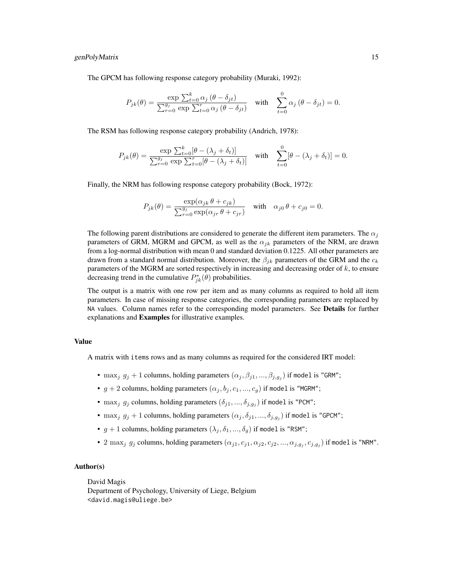#### genPolyMatrix 15

The GPCM has following response category probability (Muraki, 1992):

$$
P_{jk}(\theta) = \frac{\exp \sum_{t=0}^{k} \alpha_j (\theta - \delta_{jt})}{\sum_{r=0}^{g_j} \exp \sum_{t=0}^{r} \alpha_j (\theta - \delta_{jt})} \quad \text{with} \quad \sum_{t=0}^{0} \alpha_j (\theta - \delta_{jt}) = 0.
$$

The RSM has following response category probability (Andrich, 1978):

$$
P_{jk}(\theta) = \frac{\exp \sum_{t=0}^{k} [\theta - (\lambda_j + \delta_t)]}{\sum_{r=0}^{g_j} \exp \sum_{t=0}^{r} [\theta - (\lambda_j + \delta_t)]} \quad \text{with} \quad \sum_{t=0}^{0} [\theta - (\lambda_j + \delta_t)] = 0.
$$

Finally, the NRM has following response category probability (Bock, 1972):

$$
P_{jk}(\theta) = \frac{\exp(\alpha_{jk}\theta + c_{jk})}{\sum_{r=0}^{g_j} \exp(\alpha_{jr}\theta + c_{jr})} \quad \text{with} \quad \alpha_{j0}\theta + c_{j0} = 0.
$$

The following parent distributions are considered to generate the different item parameters. The  $\alpha_i$ parameters of GRM, MGRM and GPCM, as well as the  $\alpha_{jk}$  parameters of the NRM, are drawn from a log-normal distribution with mean 0 and standard deviation 0.1225. All other parameters are drawn from a standard normal distribution. Moreover, the  $\beta_{jk}$  parameters of the GRM and the  $c_k$ parameters of the MGRM are sorted respectively in increasing and decreasing order of k, to ensure decreasing trend in the cumulative  $P_{jk}^*(\theta)$  probabilities.

The output is a matrix with one row per item and as many columns as required to hold all item parameters. In case of missing response categories, the corresponding parameters are replaced by NA values. Column names refer to the corresponding model parameters. See Details for further explanations and Examples for illustrative examples.

#### Value

A matrix with items rows and as many columns as required for the considered IRT model:

- max<sub>j</sub>  $g_j + 1$  columns, holding parameters  $(\alpha_j, \beta_{j1}, ..., \beta_{j,g_j})$  if model is "GRM";
- $g + 2$  columns, holding parameters  $(\alpha_j, b_j, c_1, ..., c_g)$  if model is "MGRM";
- max<sub>j</sub>  $g_j$  columns, holding parameters  $(\delta_{j1},...,\delta_{j,g_j})$  if model is "PCM";
- max<sub>j</sub>  $g_j + 1$  columns, holding parameters  $(\alpha_j, \delta_{j1}, ..., \delta_{j,g_j})$  if model is "GPCM";
- $g + 1$  columns, holding parameters  $(\lambda_j, \delta_1, ..., \delta_q)$  if model is "RSM";
- 2 max<sub>j</sub>  $g_j$  columns, holding parameters  $(\alpha_{j1}, c_{j1}, \alpha_{j2}, c_{j2}, ..., \alpha_{j,g_j}, c_{j,g_j})$  if model is "NRM".

#### Author(s)

David Magis

Department of Psychology, University of Liege, Belgium <david.magis@uliege.be>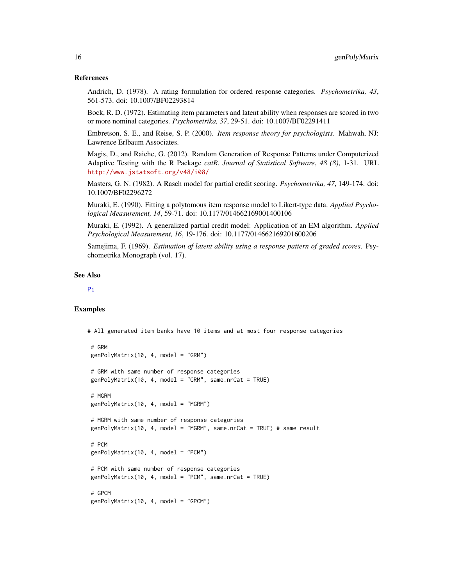#### <span id="page-15-0"></span>References

Andrich, D. (1978). A rating formulation for ordered response categories. *Psychometrika, 43*, 561-573. doi: 10.1007/BF02293814

Bock, R. D. (1972). Estimating item parameters and latent ability when responses are scored in two or more nominal categories. *Psychometrika, 37*, 29-51. doi: 10.1007/BF02291411

Embretson, S. E., and Reise, S. P. (2000). *Item response theory for psychologists*. Mahwah, NJ: Lawrence Erlbaum Associates.

Magis, D., and Raiche, G. (2012). Random Generation of Response Patterns under Computerized Adaptive Testing with the R Package *catR*. *Journal of Statistical Software*, *48 (8)*, 1-31. URL <http://www.jstatsoft.org/v48/i08/>

Masters, G. N. (1982). A Rasch model for partial credit scoring. *Psychometrika, 47*, 149-174. doi: 10.1007/BF02296272

Muraki, E. (1990). Fitting a polytomous item response model to Likert-type data. *Applied Psychological Measurement, 14*, 59-71. doi: 10.1177/014662169001400106

Muraki, E. (1992). A generalized partial credit model: Application of an EM algorithm. *Applied Psychological Measurement, 16*, 19-176. doi: 10.1177/014662169201600206

Samejima, F. (1969). *Estimation of latent ability using a response pattern of graded scores*. Psychometrika Monograph (vol. 17).

#### See Also

#### [Pi](#page-35-1)

# Examples

# All generated item banks have 10 items and at most four response categories

```
# GRM
genPolyMatrix(10, 4, model = "GRM")
# GRM with same number of response categories
genPolyMatrix(10, 4, model = "GRM", same.nrCat = TRUE)# MGRM
genPolyMatrix(10, 4, model = "MGRM")
# MGRM with same number of response categories
genPolyMatrix(10, 4, model = "MGRM", same.nrCat = TRUE) # same result
# PCM
genPolyMatrix(10, 4, model = "PCM")# PCM with same number of response categories
genPolyMatrix(10, 4, model = "PCM", same.nrCat = TRUE)
# GPCM
genPolyMatrix(10, 4, model = "GPCM")
```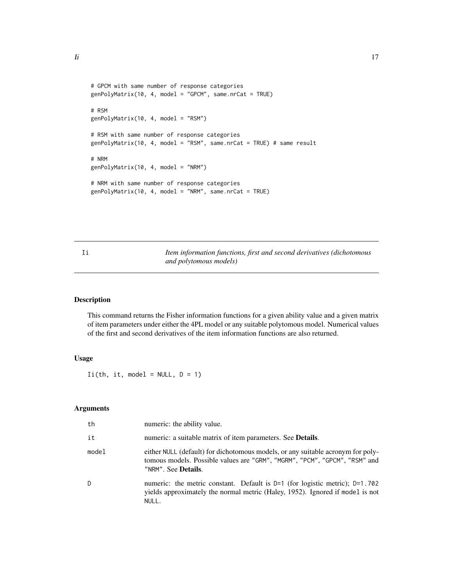```
# GPCM with same number of response categories
genPolyMatrix(10, 4, model = "GPCM", same.nrCat = TRUE)
# RSM
genPolyMatrix(10, 4, model = "RSM")
# RSM with same number of response categories
genPolyMatrix(10, 4, model = "RSM", same.nrCat = TRUE) # same result
# NRM
genPolyMatrix(10, 4, model = "NRM")
# NRM with same number of response categories
genPolyMatrix(10, 4, model = "NRM", same.nrCat = TRUE)
```
<span id="page-16-1"></span>Ii *Item information functions, first and second derivatives (dichotomous and polytomous models)*

# Description

This command returns the Fisher information functions for a given ability value and a given matrix of item parameters under either the 4PL model or any suitable polytomous model. Numerical values of the first and second derivatives of the item information functions are also returned.

# Usage

 $I_i(th, it, model = NULL, D = 1)$ 

#### Arguments

| th    | numeric: the ability value.                                                                                                                                                                  |
|-------|----------------------------------------------------------------------------------------------------------------------------------------------------------------------------------------------|
| it    | numeric: a suitable matrix of item parameters. See <b>Details</b> .                                                                                                                          |
| model | either NULL (default) for dichotomous models, or any suitable acronym for poly-<br>tomous models. Possible values are "GRM", "MGRM", "PCM", "GPCM", "RSM" and<br>"NRM". See <b>Details</b> . |
| D     | numeric: the metric constant. Default is $D=1$ (for logistic metric); $D=1.702$<br>yields approximately the normal metric (Haley, 1952). Ignored if model is not<br>NULL.                    |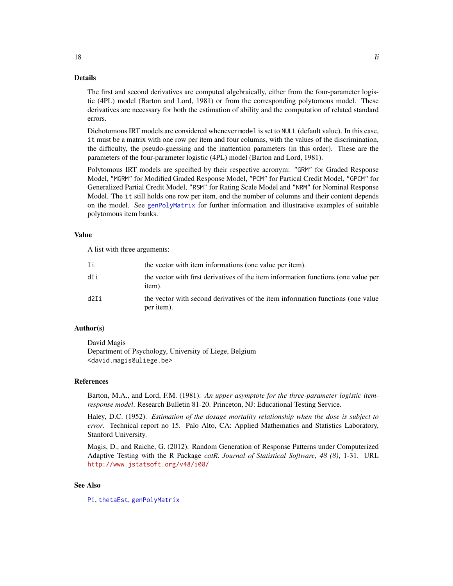#### Details

The first and second derivatives are computed algebraically, either from the four-parameter logistic (4PL) model (Barton and Lord, 1981) or from the corresponding polytomous model. These derivatives are necessary for both the estimation of ability and the computation of related standard errors.

Dichotomous IRT models are considered whenever model is set to NULL (default value). In this case, it must be a matrix with one row per item and four columns, with the values of the discrimination, the difficulty, the pseudo-guessing and the inattention parameters (in this order). These are the parameters of the four-parameter logistic (4PL) model (Barton and Lord, 1981).

Polytomous IRT models are specified by their respective acronym: "GRM" for Graded Response Model, "MGRM" for Modified Graded Response Model, "PCM" for Partical Credit Model, "GPCM" for Generalized Partial Credit Model, "RSM" for Rating Scale Model and "NRM" for Nominal Response Model. The it still holds one row per item, end the number of columns and their content depends on the model. See [genPolyMatrix](#page-12-1) for further information and illustrative examples of suitable polytomous item banks.

#### Value

A list with three arguments:

| Ιi   | the vector with item informations (one value per item).                                       |
|------|-----------------------------------------------------------------------------------------------|
| dIi  | the vector with first derivatives of the item information functions (one value per<br>item).  |
| d2Ii | the vector with second derivatives of the item information functions (one value<br>per item). |

# Author(s)

David Magis Department of Psychology, University of Liege, Belgium <david.magis@uliege.be>

#### References

Barton, M.A., and Lord, F.M. (1981). *An upper asymptote for the three-parameter logistic itemresponse model*. Research Bulletin 81-20. Princeton, NJ: Educational Testing Service.

Haley, D.C. (1952). *Estimation of the dosage mortality relationship when the dose is subject to error*. Technical report no 15. Palo Alto, CA: Applied Mathematics and Statistics Laboratory, Stanford University.

Magis, D., and Raiche, G. (2012). Random Generation of Response Patterns under Computerized Adaptive Testing with the R Package *catR*. *Journal of Statistical Software*, *48 (8)*, 1-31. URL <http://www.jstatsoft.org/v48/i08/>

# See Also

[Pi](#page-35-1), [thetaEst](#page-58-1), [genPolyMatrix](#page-12-1)

<span id="page-17-0"></span>18 Ii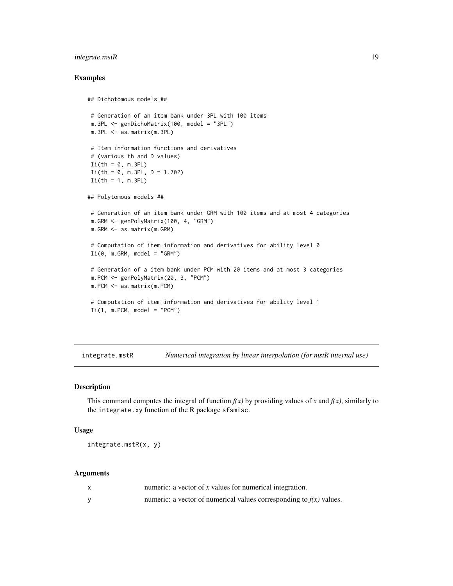# <span id="page-18-0"></span>integrate.mstR 19

#### Examples

```
## Dichotomous models ##
# Generation of an item bank under 3PL with 100 items
m.3PL <- genDichoMatrix(100, model = "3PL")
m.3PL <- as.matrix(m.3PL)
# Item information functions and derivatives
# (various th and D values)
I_i(th = 0, m.3PL)I_i(th = 0, m.3PL, D = 1.702)I_i(th = 1, m.3PL)## Polytomous models ##
# Generation of an item bank under GRM with 100 items and at most 4 categories
m.GRM <- genPolyMatrix(100, 4, "GRM")
m.GRM <- as.matrix(m.GRM)
# Computation of item information and derivatives for ability level 0
I_i(\emptyset, m.GRM, model = "GRM")# Generation of a item bank under PCM with 20 items and at most 3 categories
m.PCM <- genPolyMatrix(20, 3, "PCM")
m.PCM <- as.matrix(m.PCM)
 # Computation of item information and derivatives for ability level 1
I_i(1, m.PCM, model = "PCM")
```
<span id="page-18-1"></span>integrate.mstR *Numerical integration by linear interpolation (for mstR internal use)*

# Description

This command computes the integral of function  $f(x)$  by providing values of x and  $f(x)$ , similarly to the integrate.xy function of the R package sfsmisc.

# Usage

```
integrate.mstR(x, y)
```
# Arguments

| numeric: a vector of $x$ values for numerical integration.            |
|-----------------------------------------------------------------------|
| numeric: a vector of numerical values corresponding to $f(x)$ values. |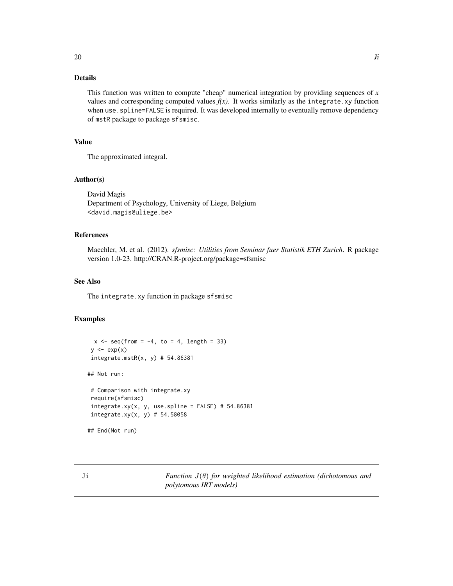# <span id="page-19-0"></span>Details

This function was written to compute "cheap" numerical integration by providing sequences of *x* values and corresponding computed values  $f(x)$ . It works similarly as the integrate.xy function when use. spline=FALSE is required. It was developed internally to eventually remove dependency of mstR package to package sfsmisc.

# Value

The approximated integral.

# Author(s)

David Magis Department of Psychology, University of Liege, Belgium <david.magis@uliege.be>

#### References

Maechler, M. et al. (2012). *sfsmisc: Utilities from Seminar fuer Statistik ETH Zurich*. R package version 1.0-23. http://CRAN.R-project.org/package=sfsmisc

#### See Also

The integrate.xy function in package sfsmisc

# Examples

```
x \le - seq(from = -4, to = 4, length = 33)
y \leftarrow \exp(x)integerate.mstR(x, y) # 54.86381## Not run:
# Comparison with integrate.xy
require(sfsmisc)
integrate.xy(x, y, use.splitne = FALSE) # 54.86381integrate.xy(x, y) # 54.58058
```
## End(Not run)

Ji *Function* J(θ) *for weighted likelihood estimation (dichotomous and polytomous IRT models)*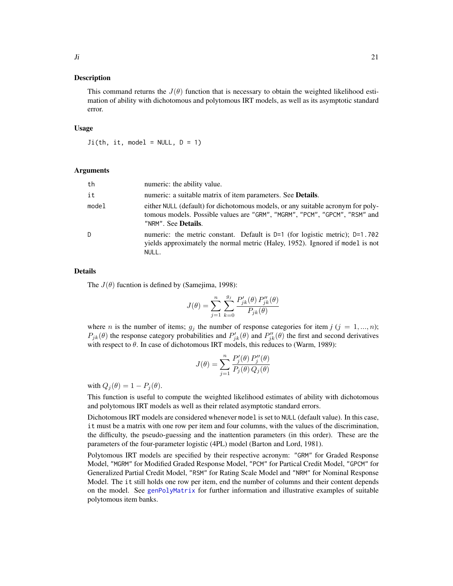# <span id="page-20-0"></span>Description

This command returns the  $J(\theta)$  function that is necessary to obtain the weighted likelihood estimation of ability with dichotomous and polytomous IRT models, as well as its asymptotic standard error.

#### Usage

 $Ji(th, it, model = NULL, D = 1)$ 

#### Arguments

| th    | numeric: the ability value.                                                                                                                                                                  |
|-------|----------------------------------------------------------------------------------------------------------------------------------------------------------------------------------------------|
| it    | numeric: a suitable matrix of item parameters. See <b>Details</b> .                                                                                                                          |
| model | either NULL (default) for dichotomous models, or any suitable acronym for poly-<br>tomous models. Possible values are "GRM", "MGRM", "PCM", "GPCM", "RSM" and<br>"NRM". See <b>Details</b> . |
| D     | numeric: the metric constant. Default is $D=1$ (for logistic metric); $D=1.702$<br>yields approximately the normal metric (Haley, 1952). Ignored if model is not<br>NULL.                    |

#### Details

The  $J(\theta)$  fucntion is defined by (Samejima, 1998):

$$
J(\theta) = \sum_{j=1}^{n} \sum_{k=0}^{g_j} \frac{P'_{jk}(\theta) P''_{jk}(\theta)}{P_{jk}(\theta)}
$$

where *n* is the number of items;  $g_j$  the number of response categories for item  $j$  ( $j = 1, ..., n$ );  $P_{jk}(\theta)$  the response category probabilities and  $P'_{jk}(\theta)$  and  $P''_{jk}(\theta)$  the first and second derivatives with respect to  $\theta$ . In case of dichotomous IRT models, this reduces to (Warm, 1989):

$$
J(\theta) = \sum_{j=1}^{n} \frac{P_j'(\theta) P_j''(\theta)}{P_j(\theta) Q_j(\theta)}
$$

with  $Q_j(\theta) = 1 - P_j(\theta)$ .

This function is useful to compute the weighted likelihood estimates of ability with dichotomous and polytomous IRT models as well as their related asymptotic standard errors.

Dichotomous IRT models are considered whenever model is set to NULL (default value). In this case, it must be a matrix with one row per item and four columns, with the values of the discrimination, the difficulty, the pseudo-guessing and the inattention parameters (in this order). These are the parameters of the four-parameter logistic (4PL) model (Barton and Lord, 1981).

Polytomous IRT models are specified by their respective acronym: "GRM" for Graded Response Model, "MGRM" for Modified Graded Response Model, "PCM" for Partical Credit Model, "GPCM" for Generalized Partial Credit Model, "RSM" for Rating Scale Model and "NRM" for Nominal Response Model. The it still holds one row per item, end the number of columns and their content depends on the model. See [genPolyMatrix](#page-12-1) for further information and illustrative examples of suitable polytomous item banks.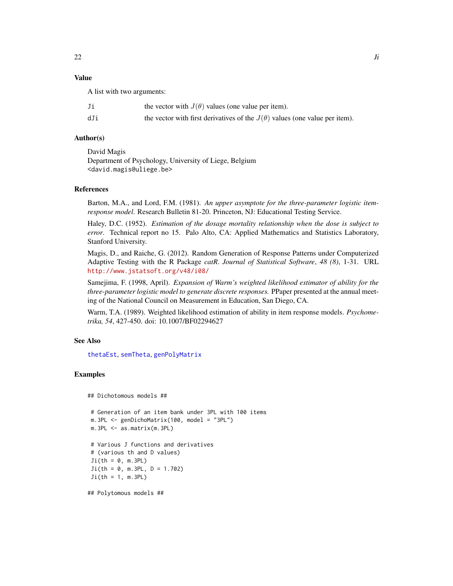# <span id="page-21-0"></span>Value

A list with two arguments:

| Ji  | the vector with $J(\theta)$ values (one value per item).                          |
|-----|-----------------------------------------------------------------------------------|
| dJi | the vector with first derivatives of the $J(\theta)$ values (one value per item). |

# Author(s)

David Magis Department of Psychology, University of Liege, Belgium <david.magis@uliege.be>

#### References

Barton, M.A., and Lord, F.M. (1981). *An upper asymptote for the three-parameter logistic itemresponse model*. Research Bulletin 81-20. Princeton, NJ: Educational Testing Service.

Haley, D.C. (1952). *Estimation of the dosage mortality relationship when the dose is subject to error*. Technical report no 15. Palo Alto, CA: Applied Mathematics and Statistics Laboratory, Stanford University.

Magis, D., and Raiche, G. (2012). Random Generation of Response Patterns under Computerized Adaptive Testing with the R Package *catR*. *Journal of Statistical Software*, *48 (8)*, 1-31. URL <http://www.jstatsoft.org/v48/i08/>

Samejima, F. (1998, April). *Expansion of Warm's weighted likelihood estimator of ability for the three-parameter logistic model to generate discrete responses.* PPaper presented at the annual meeting of the National Council on Measurement in Education, San Diego, CA.

Warm, T.A. (1989). Weighted likelihood estimation of ability in item response models. *Psychometrika, 54*, 427-450. doi: 10.1007/BF02294627

# See Also

[thetaEst](#page-58-1), [semTheta](#page-47-1), [genPolyMatrix](#page-12-1)

# Examples

```
## Dichotomous models ##
```

```
# Generation of an item bank under 3PL with 100 items
m.3PL <- genDichoMatrix(100, model = "3PL")
m.3PL <- as.matrix(m.3PL)
# Various J functions and derivatives
# (various th and D values)
Ji(th = 0, m.3PL)Ji(th = 0, m.3PL, D = 1.702)Ji(th = 1, m.3PL)
```
## Polytomous models ##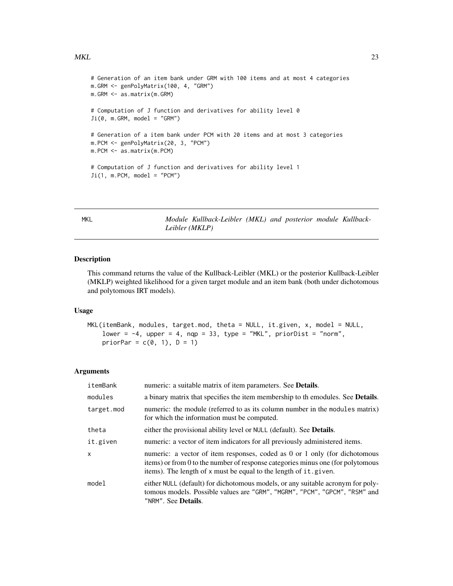#### <span id="page-22-0"></span> $MKL$  23

```
# Generation of an item bank under GRM with 100 items and at most 4 categories
m.GRM <- genPolyMatrix(100, 4, "GRM")
m.GRM <- as.matrix(m.GRM)
# Computation of J function and derivatives for ability level 0
Ji(0, m.GRM, model = "GRM")# Generation of a item bank under PCM with 20 items and at most 3 categories
m.PCM <- genPolyMatrix(20, 3, "PCM")
m.PCM <- as.matrix(m.PCM)
# Computation of J function and derivatives for ability level 1
Ji(1, m.PCM, model = "PCM")
```
<span id="page-22-1"></span>MKL *Module Kullback-Leibler (MKL) and posterior module Kullback-Leibler (MKLP)*

#### Description

This command returns the value of the Kullback-Leibler (MKL) or the posterior Kullback-Leibler (MKLP) weighted likelihood for a given target module and an item bank (both under dichotomous and polytomous IRT models).

#### Usage

```
MKL(itemBank, modules, target.mod, theta = NULL, it.given, x, model = NULL,
    lower = -4, upper = 4, nqp = 33, type = "MKL", priorDist = "norm",
    priorPar = c(\emptyset, 1), D = 1)
```
#### Arguments

| itemBank     | numeric: a suitable matrix of item parameters. See <b>Details</b> .                                                                                                                                                               |
|--------------|-----------------------------------------------------------------------------------------------------------------------------------------------------------------------------------------------------------------------------------|
| modules      | a binary matrix that specifies the item membership to the modules. See Details.                                                                                                                                                   |
| target.mod   | numeric: the module (referred to as its column number in the modules matrix)<br>for which the information must be computed.                                                                                                       |
| theta        | either the provisional ability level or NULL (default). See <b>Details</b> .                                                                                                                                                      |
| it.given     | numeric: a vector of item indicators for all previously administered items.                                                                                                                                                       |
| $\mathsf{x}$ | numeric: a vector of item responses, coded as 0 or 1 only (for dichotomous<br>items) or from 0 to the number of response categories minus one (for polytomous<br>items). The length of x must be equal to the length of it.given. |
| model        | either NULL (default) for dichotomous models, or any suitable acronym for poly-<br>tomous models. Possible values are "GRM", "MGRM", "PCM", "GPCM", "RSM" and<br>"NRM". See <b>Details</b> .                                      |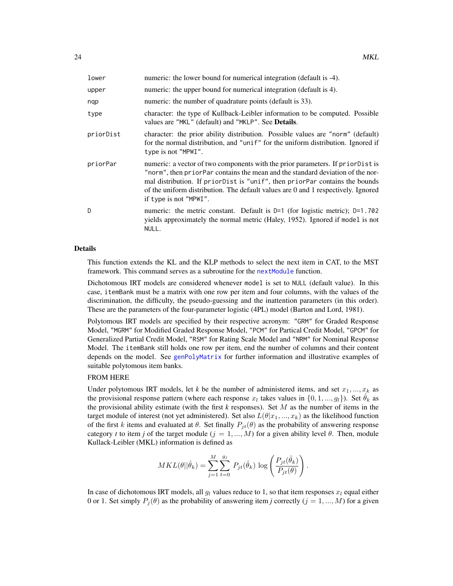<span id="page-23-0"></span>

| lower     | numeric: the lower bound for numerical integration (default is -4).                                                                                                                                                                                                                                                                                            |
|-----------|----------------------------------------------------------------------------------------------------------------------------------------------------------------------------------------------------------------------------------------------------------------------------------------------------------------------------------------------------------------|
| upper     | numeric: the upper bound for numerical integration (default is 4).                                                                                                                                                                                                                                                                                             |
| nqp       | numeric: the number of quadrature points (default is 33).                                                                                                                                                                                                                                                                                                      |
| type      | character: the type of Kullback-Leibler information to be computed. Possible<br>values are "MKL" (default) and "MKLP". See <b>Details</b> .                                                                                                                                                                                                                    |
| priorDist | character: the prior ability distribution. Possible values are "norm" (default)<br>for the normal distribution, and "unif" for the uniform distribution. Ignored if<br>type is not "MPWI".                                                                                                                                                                     |
| priorPar  | numeric: a vector of two components with the prior parameters. If priorDist is<br>"norm", then priorPar contains the mean and the standard deviation of the nor-<br>mal distribution. If priorDist is "unif", then priorPar contains the bounds<br>of the uniform distribution. The default values are 0 and 1 respectively. Ignored<br>if type is not "MPWI". |
| D.        | numeric: the metric constant. Default is $D=1$ (for logistic metric); $D=1.702$<br>yields approximately the normal metric (Haley, 1952). Ignored if model is not<br>NULL.                                                                                                                                                                                      |

# Details

This function extends the KL and the KLP methods to select the next item in CAT, to the MST framework. This command serves as a subroutine for the next Module function.

Dichotomous IRT models are considered whenever model is set to NULL (default value). In this case, itemBank must be a matrix with one row per item and four columns, with the values of the discrimination, the difficulty, the pseudo-guessing and the inattention parameters (in this order). These are the parameters of the four-parameter logistic (4PL) model (Barton and Lord, 1981).

Polytomous IRT models are specified by their respective acronym: "GRM" for Graded Response Model, "MGRM" for Modified Graded Response Model, "PCM" for Partical Credit Model, "GPCM" for Generalized Partial Credit Model, "RSM" for Rating Scale Model and "NRM" for Nominal Response Model. The itemBank still holds one row per item, end the number of columns and their content depends on the model. See [genPolyMatrix](#page-12-1) for further information and illustrative examples of suitable polytomous item banks.

# FROM HERE

Under polytomous IRT models, let *k* be the number of administered items, and set  $x_1, ..., x_k$  as the provisional response pattern (where each response  $x_l$  takes values in  $\{0, 1, ..., g_l\}$ ). Set  $\hat{\theta}_k$  as the provisional ability estimate (with the first  $k$  responses). Set  $M$  as the number of items in the target module of interest (not yet administered). Set also  $L(\theta|x_1, ..., x_k)$  as the likelihood function of the first k items and evaluated at  $\theta$ . Set finally  $P_{it}(\theta)$  as the probability of answering response category *t* to item *j* of the target module  $(j = 1, ..., M)$  for a given ability level  $\theta$ . Then, module Kullack-Leibler (MKL) information is defined as

$$
MKL(\theta||\hat{\theta}_k) = \sum_{j=1}^{M} \sum_{t=0}^{g_j} P_{jt}(\hat{\theta}_k) \log \left( \frac{P_{jt}(\hat{\theta}_k)}{P_{jt}(\theta)} \right)
$$

.

In case of dichotomous IRT models, all  $g_l$  values reduce to 1, so that item responses  $x_l$  equal either 0 or 1. Set simply  $P_i(\theta)$  as the probability of answering item *j* correctly  $(j = 1, ..., M)$  for a given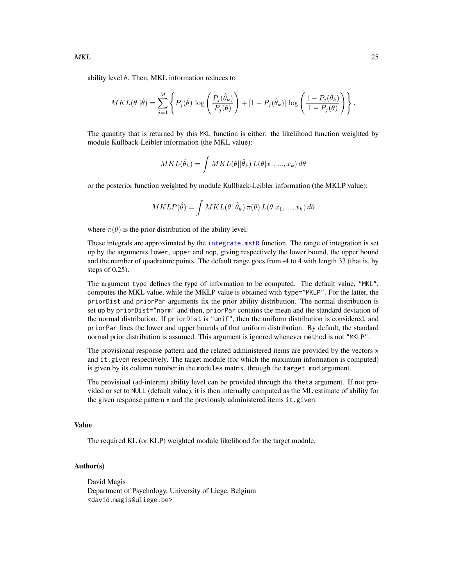<span id="page-24-0"></span>ability level  $\theta$ . Then, MKL information reduces to

$$
MKL(\theta||\hat{\theta}) = \sum_{j=1}^{M} \left\{ P_j(\hat{\theta}) \log \left( \frac{P_j(\hat{\theta}_k)}{P_j(\theta)} \right) + \left[1 - P_j(\hat{\theta}_k)\right] \log \left( \frac{1 - P_j(\hat{\theta}_k)}{1 - P_j(\theta)} \right) \right\}.
$$

The quantity that is returned by this MKL function is either: the likelihood function weighted by module Kullback-Leibler information (the MKL value):

$$
MKL(\hat{\theta}_k) = \int MKL(\theta || \hat{\theta}_k) L(\theta | x_1, ..., x_k) d\theta
$$

or the posterior function weighted by module Kullback-Leibler information (the MKLP value):

$$
MKLP(\hat{\theta}) = \int MKL(\theta || \hat{\theta}_k) \pi(\theta) L(\theta | x_1, ..., x_k) d\theta
$$

where  $\pi(\theta)$  is the prior distribution of the ability level.

These integrals are approximated by the [integrate.mstR](#page-18-1) function. The range of integration is set up by the arguments lower, upper and nqp, giving respectively the lower bound, the upper bound and the number of quadrature points. The default range goes from -4 to 4 with length 33 (that is, by steps of 0.25).

The argument type defines the type of information to be computed. The default value, "MKL", computes the MKL value, while the MKLP value is obtained with type="MKLP". For the latter, the priorDist and priorPar arguments fix the prior ability distribution. The normal distribution is set up by priorDist="norm" and then, priorPar contains the mean and the standard deviation of the normal distribution. If priorDist is "unif", then the uniform distribution is considered, and priorPar fixes the lower and upper bounds of that uniform distribution. By default, the standard normal prior distribution is assumed. This argument is ignored whenever method is not "MKLP".

The provisional response pattern and the related administered items are provided by the vectors x and it.given respectively. The target module (for which the maximum information is computed) is given by its column number in the modules matrix, through the target.mod argument.

The provisioal (ad-interim) ability level can be provided through the theta argument. If not provided or set to NULL (default value), it is then internally computed as the ML estimate of ability for the given response pattern x and the previously administered items it.given.

#### Value

The required KL (or KLP) weighted module likelihood for the target module.

# Author(s)

David Magis Department of Psychology, University of Liege, Belgium <david.magis@uliege.be>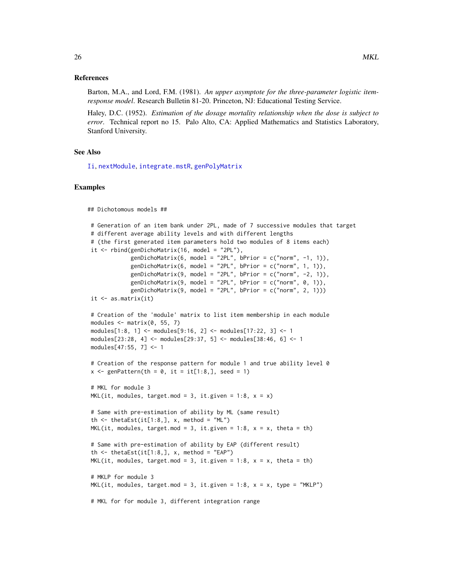#### <span id="page-25-0"></span>References

Barton, M.A., and Lord, F.M. (1981). *An upper asymptote for the three-parameter logistic itemresponse model*. Research Bulletin 81-20. Princeton, NJ: Educational Testing Service.

Haley, D.C. (1952). *Estimation of the dosage mortality relationship when the dose is subject to error*. Technical report no 15. Palo Alto, CA: Applied Mathematics and Statistics Laboratory, Stanford University.

#### See Also

[Ii](#page-16-1), [nextModule](#page-30-1), [integrate.mstR](#page-18-1), [genPolyMatrix](#page-12-1)

#### Examples

```
## Dichotomous models ##
# Generation of an item bank under 2PL, made of 7 successive modules that target
# different average ability levels and with different lengths
# (the first generated item parameters hold two modules of 8 items each)
it \le rbind(genDichoMatrix(16, model = "2PL"),
            genDichoMatrix(6, model = "2PL", bPrior = c("norm", -1, 1)),
            genDichoMatrix(6, model = "2PL", bPrior = c("norm", 1, 1)),
            genDichoMatrix(9, model = "2PL", bPrior = c("norm", -2, 1)),
            genDichomatrix(9, model = "2PL", bPrior = c("norm", 0, 1)),genDichomatrix(9, model = "2PL", bPrior = c("norm", 2, 1)))it \leftarrow as.matrix(it)# Creation of the 'module' matrix to list item membership in each module
modules \leq matrix(0, 55, 7)
modules[1:8, 1] <- modules[9:16, 2] <- modules[17:22, 3] <- 1
modules[23:28, 4] <- modules[29:37, 5] <- modules[38:46, 6] <- 1
modules[47:55, 7] <- 1
# Creation of the response pattern for module 1 and true ability level 0
x \leq - genPattern(th = 0, it = it[1:8,], seed = 1)
# MKL for module 3
MKL(it, modules, target.mod = 3, it.given = 1:8, x = x)
# Same with pre-estimation of ability by ML (same result)
th \le thetaEst(it[1:8,], x, method = "ML")
MKL(it, modules, target.mod = 3, it.given = 1:8, x = x, theta = th)
# Same with pre-estimation of ability by EAP (different result)
th \le thetaEst(it[1:8,], x, method = "EAP")
MKL(it, modules, target.mod = 3, it.given = 1:8, x = x, theta = th)
# MKLP for module 3
MKL(it, modules, target.mod = 3, it. given = 1:8, x = x, type = "MKLP")# MKL for for module 3, different integration range
```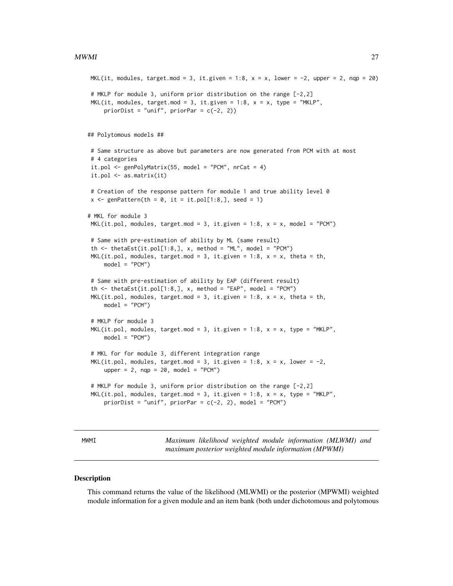```
MKL(it, modules, target.mod = 3, it.given = 1:8, x = x, lower = -2, upper = 2, nqp = 20)
# MKLP for module 3, uniform prior distribution on the range [-2,2]
MKL(it, modules, target.mod = 3, it.given = 1:8, x = x, type = "MKLP",
    priorDist = "unif", priorPar = c(-2, 2))
## Polytomous models ##
# Same structure as above but parameters are now generated from PCM with at most
# 4 categories
it.pol \leq genPolyMatrix(55, model = "PCM", nrCat = 4)
it.pol <- as.matrix(it)
# Creation of the response pattern for module 1 and true ability level 0
x \le genPattern(th = 0, it = it.pol[1:8,], seed = 1)
# MKL for module 3
MKL(it.pol, modules, target.mod = 3, it.given = 1:8, x = x, model = "PCM")# Same with pre-estimation of ability by ML (same result)
th \le thetaEst(it.pol[1:8,], x, method = "ML", model = "PCM")
MKL(it.pol, modules, target.mod = 3, it.given = 1:8, x = x, theta = th,
    model = "PCM")
# Same with pre-estimation of ability by EAP (different result)
th \le thetaEst(it.pol[1:8,], x, method = "EAP", model = "PCM")
MKL(it.pol, modules, target.mod = 3, it. given = 1:8, x = x, theta = th,model = "PCM")# MKLP for module 3
MKL(it.pol, modules, target.mod = 3, it. given = 1:8, x = x, type = "MKLP",model = "PCM")# MKL for for module 3, different integration range
MKL(it.pol, modules, target.mod = 3, it.given = 1:8, x = x, lower = -2,
    upper = 2, nqp = 20, model = "PCM")# MKLP for module 3, uniform prior distribution on the range [-2,2]
MKL(it.pol, modules, target.mod = 3, it. given = 1:8, x = x, type = "MKLP",priorDist = "unif", priorPar = c(-2, 2), model = "PCM")
```
<span id="page-26-1"></span>

MWMI *Maximum likelihood weighted module information (MLWMI) and maximum posterior weighted module information (MPWMI)*

#### Description

This command returns the value of the likelihood (MLWMI) or the posterior (MPWMI) weighted module information for a given module and an item bank (both under dichotomous and polytomous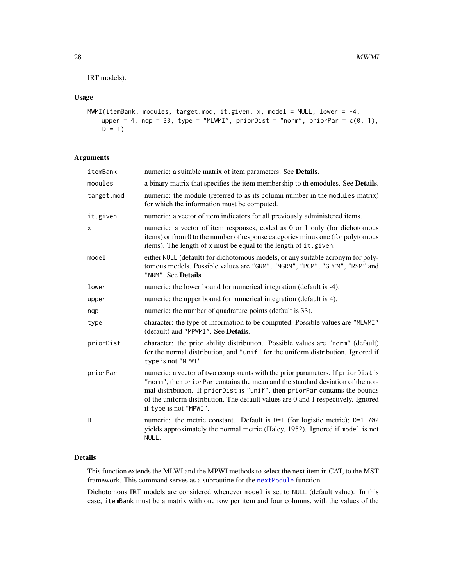<span id="page-27-0"></span>IRT models).

# Usage

```
MWMI(itemBank, modules, target.mod, it.given, x, model = NULL, lower = -4,
   upper = 4, nqp = 33, type = "MLWMI", priorDist = "norm", priorPar = c(0, 1),
   D = 1
```
# Arguments

| itemBank   | numeric: a suitable matrix of item parameters. See Details.                                                                                                                                                                                                                                                                                                    |
|------------|----------------------------------------------------------------------------------------------------------------------------------------------------------------------------------------------------------------------------------------------------------------------------------------------------------------------------------------------------------------|
| modules    | a binary matrix that specifies the item membership to the modules. See Details.                                                                                                                                                                                                                                                                                |
| target.mod | numeric: the module (referred to as its column number in the modules matrix)<br>for which the information must be computed.                                                                                                                                                                                                                                    |
| it.given   | numeric: a vector of item indicators for all previously administered items.                                                                                                                                                                                                                                                                                    |
| x          | numeric: a vector of item responses, coded as 0 or 1 only (for dichotomous<br>items) or from 0 to the number of response categories minus one (for polytomous<br>items). The length of x must be equal to the length of it.given.                                                                                                                              |
| model      | either NULL (default) for dichotomous models, or any suitable acronym for poly-<br>tomous models. Possible values are "GRM", "MGRM", "PCM", "GPCM", "RSM" and<br>"NRM". See Details.                                                                                                                                                                           |
| lower      | numeric: the lower bound for numerical integration (default is -4).                                                                                                                                                                                                                                                                                            |
| upper      | numeric: the upper bound for numerical integration (default is 4).                                                                                                                                                                                                                                                                                             |
| nqp        | numeric: the number of quadrature points (default is 33).                                                                                                                                                                                                                                                                                                      |
| type       | character: the type of information to be computed. Possible values are "MLWMI"<br>(default) and "MPWMI". See Details.                                                                                                                                                                                                                                          |
| priorDist  | character: the prior ability distribution. Possible values are "norm" (default)<br>for the normal distribution, and "unif" for the uniform distribution. Ignored if<br>type is not "MPWI".                                                                                                                                                                     |
| priorPar   | numeric: a vector of two components with the prior parameters. If priorDist is<br>"norm", then priorPar contains the mean and the standard deviation of the nor-<br>mal distribution. If priorDist is "unif", then priorPar contains the bounds<br>of the uniform distribution. The default values are 0 and 1 respectively. Ignored<br>if type is not "MPWI". |
| D          | numeric: the metric constant. Default is $D=1$ (for logistic metric); $D=1.702$<br>yields approximately the normal metric (Haley, 1952). Ignored if model is not<br>NULL.                                                                                                                                                                                      |

# Details

This function extends the MLWI and the MPWI methods to select the next item in CAT, to the MST framework. This command serves as a subroutine for the [nextModule](#page-30-1) function.

Dichotomous IRT models are considered whenever model is set to NULL (default value). In this case, itemBank must be a matrix with one row per item and four columns, with the values of the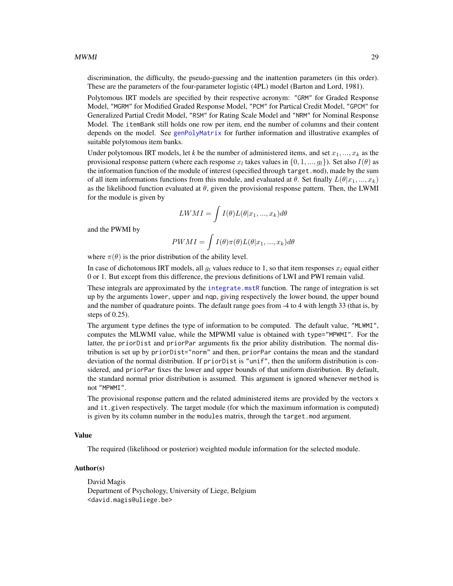<span id="page-28-0"></span>discrimination, the difficulty, the pseudo-guessing and the inattention parameters (in this order). These are the parameters of the four-parameter logistic (4PL) model (Barton and Lord, 1981).

Polytomous IRT models are specified by their respective acronym: "GRM" for Graded Response Model, "MGRM" for Modified Graded Response Model, "PCM" for Partical Credit Model, "GPCM" for Generalized Partial Credit Model, "RSM" for Rating Scale Model and "NRM" for Nominal Response Model. The itemBank still holds one row per item, end the number of columns and their content depends on the model. See [genPolyMatrix](#page-12-1) for further information and illustrative examples of suitable polytomous item banks.

Under polytomous IRT models, let *k* be the number of administered items, and set  $x_1, ..., x_k$  as the provisional response pattern (where each response  $x_l$  takes values in  $\{0, 1, ..., g_l\}$ ). Set also  $I(\theta)$  as the information function of the module of interest (specified through target.mod), made by the sum of all item informations functions from this module, and evaluated at  $\theta$ . Set finally  $L(\theta|x_1, ..., x_k)$ as the likelihood function evaluated at  $\theta$ , given the provisional response pattern. Then, the LWMI for the module is given by

$$
LWMI = \int I(\theta)L(\theta|x_1, ..., x_k)d\theta
$$

and the PWMI by

$$
PWMI = \int I(\theta)\pi(\theta)L(\theta|x_1,...,x_k)d\theta
$$

where  $\pi(\theta)$  is the prior distribution of the ability level.

In case of dichotomous IRT models, all  $g_l$  values reduce to 1, so that item responses  $x_l$  equal either 0 or 1. But except from this difference, the previous definitions of LWI and PWI remain valid.

These integrals are approximated by the [integrate.mstR](#page-18-1) function. The range of integration is set up by the arguments lower, upper and nqp, giving respectively the lower bound, the upper bound and the number of quadrature points. The default range goes from -4 to 4 with length 33 (that is, by steps of 0.25).

The argument type defines the type of information to be computed. The default value, "MLWMI", computes the MLWMI value, while the MPWMI value is obtained with type="MPWMI". For the latter, the priorDist and priorPar arguments fix the prior ability distribution. The normal distribution is set up by priorDist="norm" and then, priorPar contains the mean and the standard deviation of the normal distribution. If priorDist is "unif", then the uniform distribution is considered, and priorPar fixes the lower and upper bounds of that uniform distribution. By default, the standard normal prior distribution is assumed. This argument is ignored whenever method is not "MPWMI".

The provisional response pattern and the related administered items are provided by the vectors x and it.given respectively. The target module (for which the maximum information is computed) is given by its column number in the modules matrix, through the target.mod argument.

#### Value

The required (likelihood or posterior) weighted module information for the selected module.

#### Author(s)

David Magis Department of Psychology, University of Liege, Belgium <david.magis@uliege.be>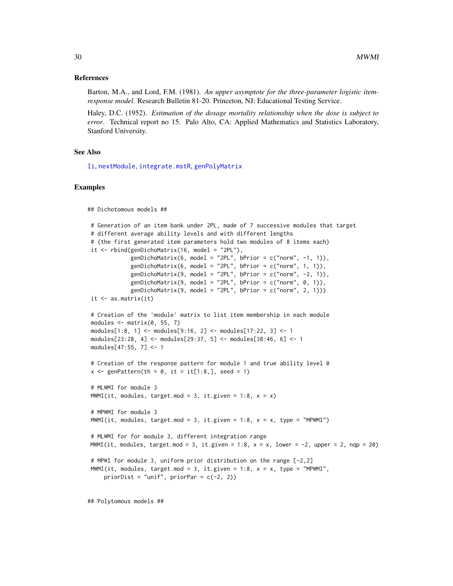#### <span id="page-29-0"></span>References

Barton, M.A., and Lord, F.M. (1981). *An upper asymptote for the three-parameter logistic itemresponse model*. Research Bulletin 81-20. Princeton, NJ: Educational Testing Service.

Haley, D.C. (1952). *Estimation of the dosage mortality relationship when the dose is subject to error*. Technical report no 15. Palo Alto, CA: Applied Mathematics and Statistics Laboratory, Stanford University.

#### See Also

[Ii](#page-16-1), [nextModule](#page-30-1), [integrate.mstR](#page-18-1), [genPolyMatrix](#page-12-1)

#### Examples

```
## Dichotomous models ##
# Generation of an item bank under 2PL, made of 7 successive modules that target
# different average ability levels and with different lengths
# (the first generated item parameters hold two modules of 8 items each)
it \le rbind(genDichoMatrix(16, model = "2PL"),
            genDichoMatrix(6, model = "2PL", bPrior = c("norm", -1, 1)),
            genDichoMatrix(6, model = "2PL", bPrior = c("norm", 1, 1)),
            genDichoMatrix(9, model = "2PL", bPrior = c("norm", -2, 1)),
            genDichomatrix(9, model = "2PL", bPrior = c("norm", 0, 1)),genDichomatrix(9, model = "2PL", bPrior = c("norm", 2, 1)))it \leftarrow as.matrix(it)# Creation of the 'module' matrix to list item membership in each module
modules \leq matrix(0, 55, 7)
modules[1:8, 1] <- modules[9:16, 2] <- modules[17:22, 3] <- 1
modules[23:28, 4] <- modules[29:37, 5] <- modules[38:46, 6] <- 1
modules[47:55, 7] <- 1
# Creation of the response pattern for module 1 and true ability level 0
x \leq - genPattern(th = 0, it = it[1:8,], seed = 1)
# MLWMI for module 3
MWMI(it, modules, target.mod = 3, it.given = 1:8, x = x)
# MPWMI for module 3
MWMI(it, modules, target.mod = 3, it.given = 1:8, x = x, type = "MPWMI")
# MLWMI for for module 3, different integration range
MWMI(it, modules, target.mod = 3, it.given = 1:8, x = x, lower = -2, upper = 2, nqp = 20)
# MPWI for module 3, uniform prior distribution on the range [-2,2]
MWMI(it, modules, target.mod = 3, it.given = 1:8, x = x, type = "MPWMI",
    priorDist = "unif", priorPar = c(-2, 2))
```
## Polytomous models ##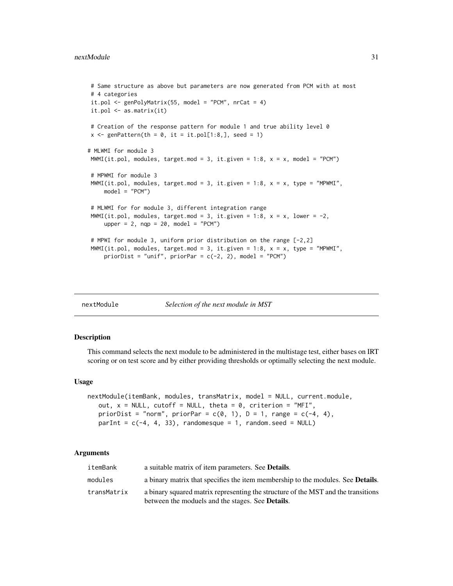```
# Same structure as above but parameters are now generated from PCM with at most
# 4 categories
it.pol \leq genPolyMatrix(55, model = "PCM", nrCat = 4)
it.pol <- as.matrix(it)
# Creation of the response pattern for module 1 and true ability level 0
x \le genPattern(th = 0, it = it.pol[1:8,], seed = 1)
# MLWMI for module 3
MWMI(it.pol, modules, target.mod = 3, it.given = 1:8, x = x, model = "PCM")
# MPWMI for module 3
MWMI(it.pol, modules, target.mod = 3, it.given = 1:8, x = x, type = "MPWMI",
    model = "PCM")# MLWMI for for module 3, different integration range
MWMI(it.pol, modules, target.mod = 3, it.given = 1:8, x = x, lower = -2,
    upper = 2, nqp = 20, model = "PCM")# MPWI for module 3, uniform prior distribution on the range [-2,2]
MWMI(it.pol, modules, target.mod = 3, it.given = 1:8, x = x, type = "MPWMI",
    priorDist = "unif", priorPar = c(-2, 2), model = "PCM")
```
<span id="page-30-1"></span>

nextModule *Selection of the next module in MST*

# **Description**

This command selects the next module to be administered in the multistage test, either bases on IRT scoring or on test score and by either providing thresholds or optimally selecting the next module.

# Usage

```
nextModule(itemBank, modules, transMatrix, model = NULL, current.module,
   out, x = NULL, cutoff = NULL, theta = 0, criterion = "MFI",
   priorDist = "norm", priorPar = c(0, 1), D = 1, range = c(-4, 4),
   parInt = c(-4, 4, 33), randomesque = 1, random.seed = NULL)
```
# Arguments

| itemBank    | a suitable matrix of item parameters. See <b>Details</b> .                              |
|-------------|-----------------------------------------------------------------------------------------|
| modules     | a binary matrix that specifies the item membership to the modules. See <b>Details</b> . |
| transMatrix | a binary squared matrix representing the structure of the MST and the transitions       |
|             | between the moduels and the stages. See <b>Details</b> .                                |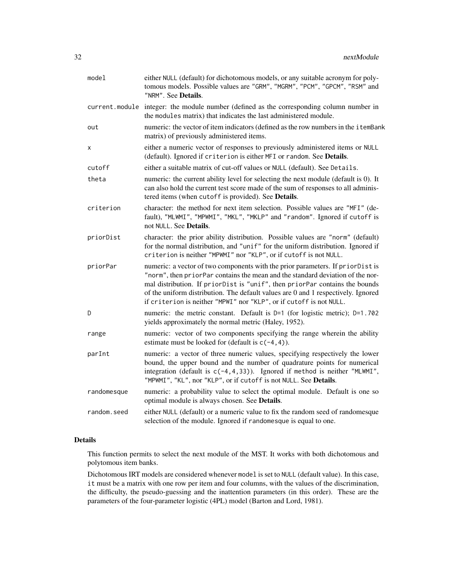| model       | either NULL (default) for dichotomous models, or any suitable acronym for poly-<br>tomous models. Possible values are "GRM", "MGRM", "PCM", "GPCM", "RSM" and<br>"NRM". See Details.                                                                                                                                                                                                                        |
|-------------|-------------------------------------------------------------------------------------------------------------------------------------------------------------------------------------------------------------------------------------------------------------------------------------------------------------------------------------------------------------------------------------------------------------|
|             | current.module integer: the module number (defined as the corresponding column number in<br>the modules matrix) that indicates the last administered module.                                                                                                                                                                                                                                                |
| out         | numeric: the vector of item indicators (defined as the row numbers in the i temBank<br>matrix) of previously administered items.                                                                                                                                                                                                                                                                            |
| х           | either a numeric vector of responses to previously administered items or NULL<br>(default). Ignored if criterion is either MFI or random. See Details.                                                                                                                                                                                                                                                      |
| cutoff      | either a suitable matrix of cut-off values or NULL (default). See Details.                                                                                                                                                                                                                                                                                                                                  |
| theta       | numeric: the current ability level for selecting the next module (default is 0). It<br>can also hold the current test score made of the sum of responses to all adminis-<br>tered items (when cutoff is provided). See Details.                                                                                                                                                                             |
| criterion   | character: the method for next item selection. Possible values are "MFI" (de-<br>fault), "MLWMI", "MPWMI", "MKL", "MKLP" and "random". Ignored if cutoff is<br>not NULL. See Details.                                                                                                                                                                                                                       |
| priorDist   | character: the prior ability distribution. Possible values are "norm" (default)<br>for the normal distribution, and "unif" for the uniform distribution. Ignored if<br>criterion is neither "MPWMI" nor "KLP", or if cutoff is not NULL.                                                                                                                                                                    |
| priorPar    | numeric: a vector of two components with the prior parameters. If priorDist is<br>"norm", then priorPar contains the mean and the standard deviation of the nor-<br>mal distribution. If priorDist is "unif", then priorPar contains the bounds<br>of the uniform distribution. The default values are 0 and 1 respectively. Ignored<br>if criterion is neither "MPWI" nor "KLP", or if cutoff is not NULL. |
| D           | numeric: the metric constant. Default is D=1 (for logistic metric); D=1.702<br>yields approximately the normal metric (Haley, 1952).                                                                                                                                                                                                                                                                        |
| range       | numeric: vector of two components specifying the range wherein the ability<br>estimate must be looked for (default is $c(-4, 4)$ ).                                                                                                                                                                                                                                                                         |
| parInt      | numeric: a vector of three numeric values, specifying respectively the lower<br>bound, the upper bound and the number of quadrature points for numerical<br>integration (default is $c(-4, 4, 33)$ ). Ignored if method is neither "MLWMI",<br>"MPWMI", "KL", nor "KLP", or if cutoff is not NULL. See Details.                                                                                             |
| randomesque | numeric: a probability value to select the optimal module. Default is one so<br>optimal module is always chosen. See Details.                                                                                                                                                                                                                                                                               |
| random.seed | either NULL (default) or a numeric value to fix the random seed of randomesque<br>selection of the module. Ignored if randomesque is equal to one.                                                                                                                                                                                                                                                          |

# Details

This function permits to select the next module of the MST. It works with both dichotomous and polytomous item banks.

Dichotomous IRT models are considered whenever model is set to NULL (default value). In this case, it must be a matrix with one row per item and four columns, with the values of the discrimination, the difficulty, the pseudo-guessing and the inattention parameters (in this order). These are the parameters of the four-parameter logistic (4PL) model (Barton and Lord, 1981).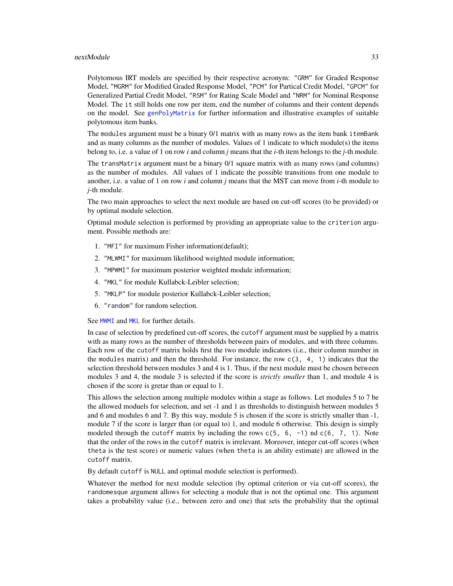#### <span id="page-32-0"></span>nextModule 33

Polytomous IRT models are specified by their respective acronym: "GRM" for Graded Response Model, "MGRM" for Modified Graded Response Model, "PCM" for Partical Credit Model, "GPCM" for Generalized Partial Credit Model, "RSM" for Rating Scale Model and "NRM" for Nominal Response Model. The it still holds one row per item, end the number of columns and their content depends on the model. See [genPolyMatrix](#page-12-1) for further information and illustrative examples of suitable polytomous item banks.

The modules argument must be a binary 0/1 matrix with as many rows as the item bank itemBank and as many columns as the number of modules. Values of 1 indicate to which module(s) the items belong to, i.e. a value of 1 on row *i* and column *j* means that the *i*-th item belongs to the *j*-th module.

The transMatrix argument must be a binary 0/1 square matrix with as many rows (and columns) as the number of modules. All values of 1 indicate the possible transitions from one module to another, i.e. a value of 1 on row *i* and column *j* means that the MST can move from *i*-th module to *j*-th module.

The two main approaches to select the next module are based on cut-off scores (to be provided) or by optimal module selection.

Optimal module selection is performed by providing an appropriate value to the criterion argument. Possible methods are:

- 1. "MFI" for maximum Fisher information(default);
- 2. "MLWMI" for maximum likelihood weighted module information;
- 3. "MPWMI" for maximum posterior weighted module information;
- 4. "MKL" for module Kullabck-Leibler selection;
- 5. "MKLP" for module posterior Kullabck-Leibler selection;
- 6. "random" for random selection.

See [MWMI](#page-26-1) and [MKL](#page-22-1) for further details.

In case of selection by predefined cut-off scores, the cutoff argument must be supplied by a matrix with as many rows as the number of thresholds between pairs of modules, and with three columns. Each row of the cutoff matrix holds first the two module indicators (i.e., their column number in the modules matrix) and then the threshold. For instance, the row  $c(3, 4, 1)$  indicates that the selection threshold between modules 3 and 4 is 1. Thus, if the next module must be chosen between modules 3 and 4, the module 3 is selected if the score is *strictly smaller* than 1, and module 4 is chosen if the score is gretar than or equal to 1.

This allows the selection among multiple modules within a stage as follows. Let modules 5 to 7 be the allowed moduels for selection, and set -1 and 1 as thresholds to distinguish between modules 5 and 6 and modules 6 and 7. By this way, module 5 is chosen if the score is strictly smaller than -1, module 7 if the score is larger than (or equal to) 1, and module 6 otherwise. This design is simply modeled through the cutoff matrix by including the rows  $c(5, 6, -1)$  nd  $c(6, 7, 1)$ . Note that the order of the rows in the cutoff matrix is irrelevant. Moreover, integer cut-off scores (when theta is the test score) or numeric values (when theta is an ability estimate) are allowed in the cutoff matrix.

By default cutoff is NULL and optimal module selection is performed).

Whatever the method for next module selection (by optimal criterion or via cut-off scores), the randomesque argument allows for selecting a module that is not the optimal one. This argument takes a probability value (i.e., between zero and one) that sets the probability that the optimal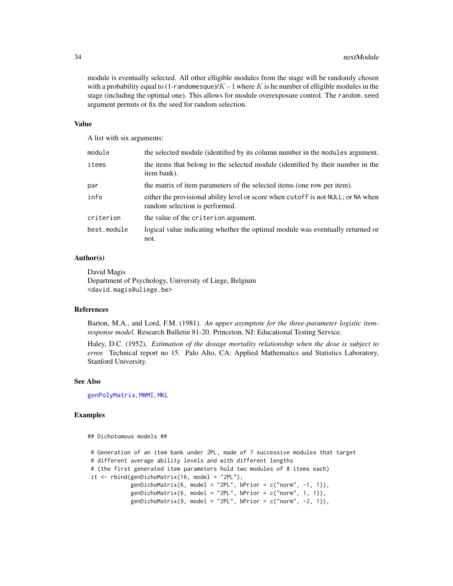module is eventually selected. All other elligible modules from the stage will be randomly chosen with a probability equal to (1-randomesque)/ $K-1$  where K is he number of elligible modules in the stage (including the optimal one). This allows for module overexposure control. The random.seed argument permits ot fix the seed for random selection.

#### Value

A list with six arguments:

| module      | the selected module (identified by its column number in the modules argument.                                       |
|-------------|---------------------------------------------------------------------------------------------------------------------|
| items       | the items that belong to the selected module (identified by their number in the<br>item bank).                      |
| par         | the matrix of item parameters of the selected items (one row per item).                                             |
| info        | either the provisional ability level or score when cutoff is not NULL; or NA when<br>random selection is performed. |
| criterion   | the value of the criterion argument.                                                                                |
| best.module | logical value indicating whether the optimal module was eventually returned or<br>not.                              |

#### Author(s)

David Magis Department of Psychology, University of Liege, Belgium <david.magis@uliege.be>

# References

Barton, M.A., and Lord, F.M. (1981). *An upper asymptote for the three-parameter logistic itemresponse model*. Research Bulletin 81-20. Princeton, NJ: Educational Testing Service.

Haley, D.C. (1952). *Estimation of the dosage mortality relationship when the dose is subject to error.* Technical report no 15. Palo Alto, CA: Applied Mathematics and Statistics Laboratory, Stanford University.

#### See Also

[genPolyMatrix](#page-12-1), [MWMI](#page-26-1), [MKL](#page-22-1)

#### Examples

```
## Dichotomous models ##
# Generation of an item bank under 2PL, made of 7 successive modules that target
# different average ability levels and with different lengths
# (the first generated item parameters hold two modules of 8 items each)
it \le rbind(genDichoMatrix(16, model = "2PL"),
            genDichoMatrix(6, model = "2PL", bPrior = c("norm", -1, 1)),
            genDichoMatrix(6, model = "2PL", bPrior = c("norm", 1, 1)),genDichoMatrix(9, model = "2PL", bPrior = c("norm", -2, 1)),
```
<span id="page-33-0"></span>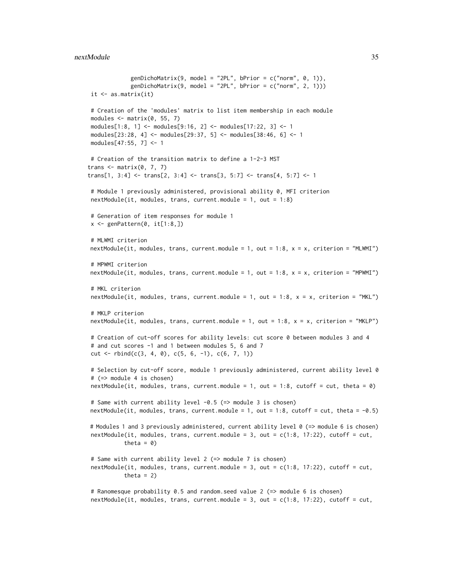```
genDichoMatrix(9, model = "2PL", bPrior = c("norm", 0, 1)),
             genDichoMatrix(9, model = "2PL", bPrior = c("norm", 2, 1)))
it <- as.matrix(it)
# Creation of the 'modules' matrix to list item membership in each module
modules \leq matrix(0, 55, 7)
modules[1:8, 1] <- modules[9:16, 2] <- modules[17:22, 3] <- 1
modules[23:28, 4] <- modules[29:37, 5] <- modules[38:46, 6] <- 1
modules[47:55, 7] <- 1
# Creation of the transition matrix to define a 1-2-3 MST
trans \leq matrix(0, 7, 7)
trans[1, 3:4] \leftarrow trans[2, 3:4] \leftarrow trans[3, 5:7] \leftarrow trans[4, 5:7] \leftarrow 1# Module 1 previously administered, provisional ability 0, MFI criterion
nextModule(it, modules, trans, current.module = 1, out = 1:8)# Generation of item responses for module 1
x \leftarrow genPattern(0, it[1:8,])# MLWMI criterion
nextModule(int, modules, trans, current.module = 1, out = 1:8, x = x, criterion = "MLWMI")# MPWMI criterion
nextModule(int, modules, trans, current.module = 1, out = 1:8, x = x, criterion = "MPWMI")# MKL criterion
nextModule(it, modules, trans, current.module = 1, out = 1:8, x = x, criterion = "MKL")
# MKLP criterion
nextModule(it, modules, trans, current.module = 1, out = 1:8, x = x, criterion = "MKLP")
# Creation of cut-off scores for ability levels: cut score 0 between modules 3 and 4
# and cut scores -1 and 1 between modules 5, 6 and 7
cut <- rbind(c(3, 4, 0), c(5, 6, -1), c(6, 7, 1))
# Selection by cut-off score, module 1 previously administered, current ability level 0
# (=> module 4 is chosen)
nextModule(int, modules, trans, current.module = 1, out = 1:8, cutoff = cut, theta = 0)# Same with current ability level -0.5 (=> module 3 is chosen)
nextModule(it, modules, trans, current.module = 1, out = 1:8, cutoff = cut, theta = -0.5)
# Modules 1 and 3 previously administered, current ability level 0 (=> module 6 is chosen)
nextModule(int, modules, trans, current.module = 3, out = c(1:8, 17:22), cutoff = cut,theta = 0)
# Same with current ability level 2 (=> module 7 is chosen)
nextModule(it, modules, trans, current.module = 3, out = c(1:8, 17:22), cutoff = cut,
           theta = 2)
# Ranomesque probability 0.5 and random.seed value 2 (=> module 6 is chosen)
nextModule(int, modules, trans, current.module = 3, out = c(1:8, 17:22), cutoff = cut,
```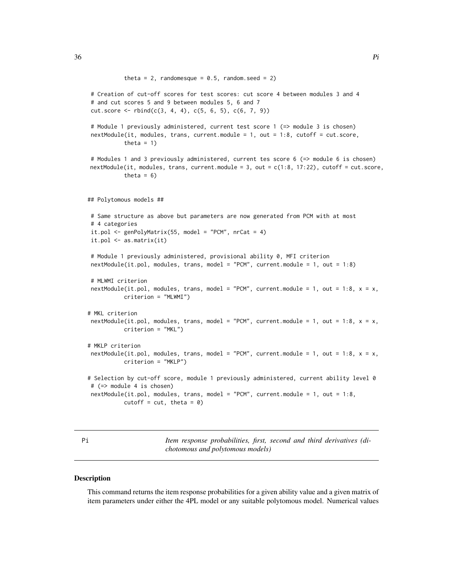```
theta = 2, randomesque = 0.5, random.seed = 2)
# Creation of cut-off scores for test scores: cut score 4 between modules 3 and 4
# and cut scores 5 and 9 between modules 5, 6 and 7
cut_score \leftarrow rbind(c(3, 4, 4), c(5, 6, 5), c(6, 7, 9))# Module 1 previously administered, current test score 1 (=> module 3 is chosen)
nextModule(it, modules, trans, current.module = 1, out = 1:8, cutoff = cut.score,
           theta = 1)
# Modules 1 and 3 previously administered, current tes score 6 (=> module 6 is chosen)
nextModule(it, modules, trans, current.module = 3, out = c(1:8, 17:22), cutoff = cut.score,
           theta = 6)
## Polytomous models ##
# Same structure as above but parameters are now generated from PCM with at most
# 4 categories
it.pol \leq genPolyMatrix(55, model = "PCM", nrCat = 4)
it.pol <- as.matrix(it)
# Module 1 previously administered, provisional ability 0, MFI criterion
nextModule(it.pol, modules, trans, model = "PCM", current.module = 1, out = 1:8)
# MLWMI criterion
nextModule(it.pol, modules, trans, model = "PCM", current.module = 1, out = 1:8, x = x,
          criterion = "MLWMI")
# MKL criterion
nextModule(it.pol, modules, trans, model = "PCM", current.module = 1, out = 1:8, x = x,
          criterion = "MKL")
# MKLP criterion
nextModule(it.pol, modules, trans, model = "PCM", current.module = 1, out = 1:8, x = x,
           criterion = "MKLP")
# Selection by cut-off score, module 1 previously administered, current ability level 0
# (=> module 4 is chosen)
nextModule(it.pol, modules, trans, model = "PCM", current.module = 1, out = 1:8,
          cutoff = cut, theta = 0)
```
<span id="page-35-1"></span>Pi *Item response probabilities, first, second and third derivatives (dichotomous and polytomous models)*

#### **Description**

This command returns the item response probabilities for a given ability value and a given matrix of item parameters under either the 4PL model or any suitable polytomous model. Numerical values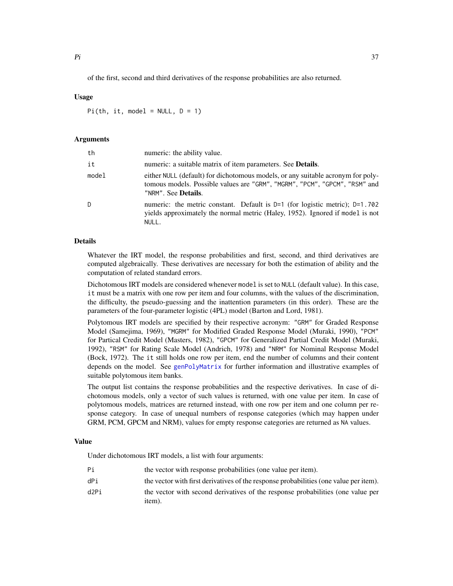<span id="page-36-0"></span>of the first, second and third derivatives of the response probabilities are also returned.

# Usage

Pi(th, it, model =  $NULL, D = 1)$ 

#### Arguments

| th    | numeric: the ability value.                                                                                                                                                          |
|-------|--------------------------------------------------------------------------------------------------------------------------------------------------------------------------------------|
| it    | numeric: a suitable matrix of item parameters. See <b>Details</b> .                                                                                                                  |
| model | either NULL (default) for dichotomous models, or any suitable acronym for poly-<br>tomous models. Possible values are "GRM", "MGRM", "PCM", "GPCM", "RSM" and<br>"NRM". See Details. |
| D     | numeric: the metric constant. Default is $D=1$ (for logistic metric); $D=1.702$<br>yields approximately the normal metric (Haley, 1952). Ignored if model is not<br>NULL.            |

# Details

Whatever the IRT model, the response probabilities and first, second, and third derivatives are computed algebraically. These derivatives are necessary for both the estimation of ability and the computation of related standard errors.

Dichotomous IRT models are considered whenever model is set to NULL (default value). In this case, it must be a matrix with one row per item and four columns, with the values of the discrimination, the difficulty, the pseudo-guessing and the inattention parameters (in this order). These are the parameters of the four-parameter logistic (4PL) model (Barton and Lord, 1981).

Polytomous IRT models are specified by their respective acronym: "GRM" for Graded Response Model (Samejima, 1969), "MGRM" for Modified Graded Response Model (Muraki, 1990), "PCM" for Partical Credit Model (Masters, 1982), "GPCM" for Generalized Partial Credit Model (Muraki, 1992), "RSM" for Rating Scale Model (Andrich, 1978) and "NRM" for Nominal Response Model (Bock, 1972). The it still holds one row per item, end the number of columns and their content depends on the model. See [genPolyMatrix](#page-12-1) for further information and illustrative examples of suitable polytomous item banks.

The output list contains the response probabilities and the respective derivatives. In case of dichotomous models, only a vector of such values is returned, with one value per item. In case of polytomous models, matrices are returned instead, with one row per item and one column per response category. In case of unequal numbers of response categories (which may happen under GRM, PCM, GPCM and NRM), values for empty response categories are returned as NA values.

#### Value

Under dichotomous IRT models, a list with four arguments:

- Pi the vector with response probabilities (one value per item).
- dPi the vector with first derivatives of the response probabilities (one value per item).
- d2Pi the vector with second derivatives of the response probabilities (one value per item).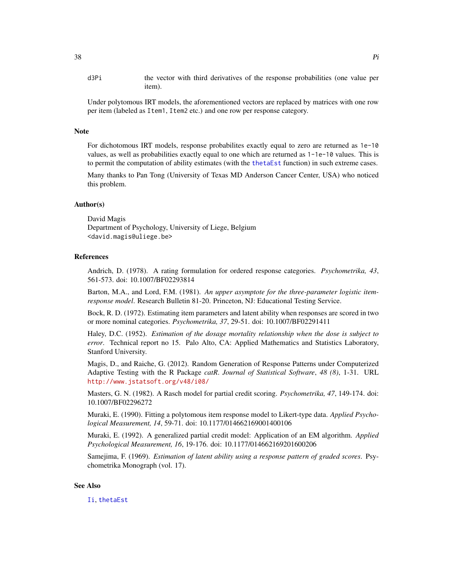<span id="page-37-0"></span>d3Pi the vector with third derivatives of the response probabilities (one value per item).

Under polytomous IRT models, the aforementioned vectors are replaced by matrices with one row per item (labeled as Item1, Item2 etc.) and one row per response category.

#### Note

For dichotomous IRT models, response probabilites exactly equal to zero are returned as 1e-10 values, as well as probabilities exactly equal to one which are returned as 1-1e-10 values. This is to permit the computation of ability estimates (with the [thetaEst](#page-58-1) function) in such extreme cases.

Many thanks to Pan Tong (University of Texas MD Anderson Cancer Center, USA) who noticed this problem.

#### Author(s)

David Magis Department of Psychology, University of Liege, Belgium <david.magis@uliege.be>

# References

Andrich, D. (1978). A rating formulation for ordered response categories. *Psychometrika, 43*, 561-573. doi: 10.1007/BF02293814

Barton, M.A., and Lord, F.M. (1981). *An upper asymptote for the three-parameter logistic itemresponse model*. Research Bulletin 81-20. Princeton, NJ: Educational Testing Service.

Bock, R. D. (1972). Estimating item parameters and latent ability when responses are scored in two or more nominal categories. *Psychometrika, 37*, 29-51. doi: 10.1007/BF02291411

Haley, D.C. (1952). *Estimation of the dosage mortality relationship when the dose is subject to error*. Technical report no 15. Palo Alto, CA: Applied Mathematics and Statistics Laboratory, Stanford University.

Magis, D., and Raiche, G. (2012). Random Generation of Response Patterns under Computerized Adaptive Testing with the R Package *catR*. *Journal of Statistical Software*, *48 (8)*, 1-31. URL <http://www.jstatsoft.org/v48/i08/>

Masters, G. N. (1982). A Rasch model for partial credit scoring. *Psychometrika, 47*, 149-174. doi: 10.1007/BF02296272

Muraki, E. (1990). Fitting a polytomous item response model to Likert-type data. *Applied Psychological Measurement, 14*, 59-71. doi: 10.1177/014662169001400106

Muraki, E. (1992). A generalized partial credit model: Application of an EM algorithm. *Applied Psychological Measurement, 16*, 19-176. doi: 10.1177/014662169201600206

Samejima, F. (1969). *Estimation of latent ability using a response pattern of graded scores*. Psychometrika Monograph (vol. 17).

#### See Also

[Ii](#page-16-1), [thetaEst](#page-58-1)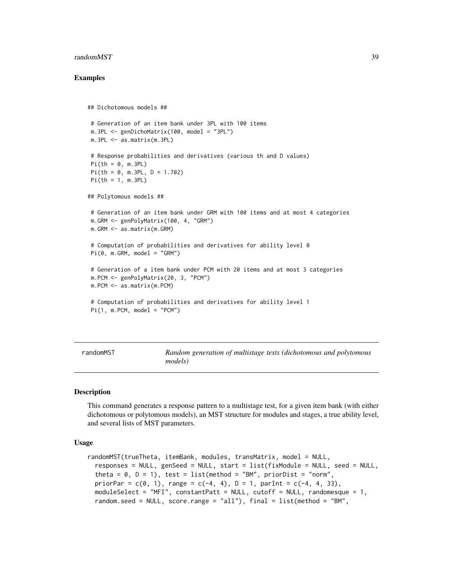#### <span id="page-38-0"></span>randomMST 39

#### Examples

```
## Dichotomous models ##
# Generation of an item bank under 3PL with 100 items
m.3PL <- genDichoMatrix(100, model = "3PL")
m.3PL <- as.matrix(m.3PL)
# Response probabilities and derivatives (various th and D values)
Pi(th = 0, m.3PL)Pi(th = 0, m.3PL, D = 1.702)Pi(th = 1, m.3PL)
## Polytomous models ##
# Generation of an item bank under GRM with 100 items and at most 4 categories
m.GRM <- genPolyMatrix(100, 4, "GRM")
m.GRM <- as.matrix(m.GRM)
# Computation of probabilities and derivatives for ability level 0
Pi(0, m.GRM, model = "GRM")# Generation of a item bank under PCM with 20 items and at most 3 categories
m.PCM <- genPolyMatrix(20, 3, "PCM")
m.PCM <- as.matrix(m.PCM)
# Computation of probabilities and derivatives for ability level 1
Pi(1, m.PCM, model = "PCM")
```
<span id="page-38-1"></span>

| randomMST | Random generation of multistage tests (dichotomous and polytomous |
|-----------|-------------------------------------------------------------------|
|           | models)                                                           |

#### Description

This command generates a response pattern to a multistage test, for a given item bank (with either dichotomous or polytomous models), an MST structure for modules and stages, a true ability level, and several lists of MST parameters.

#### Usage

```
randomMST(trueTheta, itemBank, modules, transMatrix, model = NULL,
  responses = NULL, genSeed = NULL, start = list(fixModule = NULL, seed = NULL,
  theta = 0, D = 1), test = list(method = "BM", priorDist = "norm",
 priorPar = c(0, 1), range = c(-4, 4), D = 1, parInt = c(-4, 4, 33),
 moduleSelect = "MFI", constantPatt = NULL, cutoff = NULL, randomesque = 1,
  random.seed = NULL, score.range = "all"), final = list(method = "BM",
```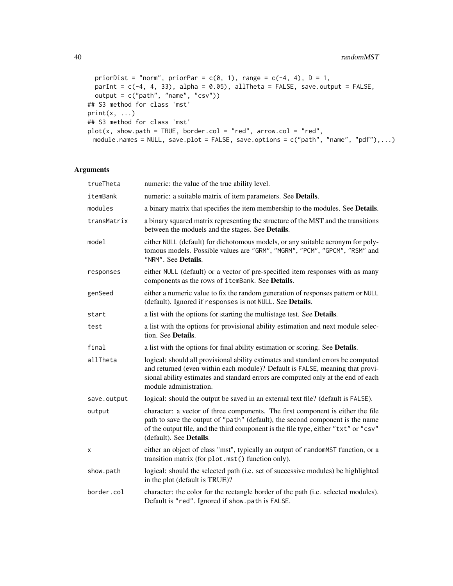```
priorDist = "norm", priorPar = c(\emptyset, 1), range = c(-4, 4), D = 1,
 parInt = c(-4, 4, 33), alpha = 0.05), allTheta = FALSE, save.output = FALSE,
  output = c("path", "name", "csv"))
## S3 method for class 'mst'
print(x, \ldots)## S3 method for class 'mst'
plot(x, show.path = TRUE, border.col = "red", arrow.col = "red",module.names = NULL, save.plot = FALSE, save.options = c("path", "name", "pdf"),...)
```
### Arguments

| trueTheta   | numeric: the value of the true ability level.                                                                                                                                                                                                                                      |
|-------------|------------------------------------------------------------------------------------------------------------------------------------------------------------------------------------------------------------------------------------------------------------------------------------|
| itemBank    | numeric: a suitable matrix of item parameters. See Details.                                                                                                                                                                                                                        |
| modules     | a binary matrix that specifies the item membership to the modules. See Details.                                                                                                                                                                                                    |
| transMatrix | a binary squared matrix representing the structure of the MST and the transitions<br>between the moduels and the stages. See Details.                                                                                                                                              |
| model       | either NULL (default) for dichotomous models, or any suitable acronym for poly-<br>tomous models. Possible values are "GRM", "MGRM", "PCM", "GPCM", "RSM" and<br>"NRM". See Details.                                                                                               |
| responses   | either NULL (default) or a vector of pre-specified item responses with as many<br>components as the rows of itemBank. See Details.                                                                                                                                                 |
| genSeed     | either a numeric value to fix the random generation of responses pattern or NULL<br>(default). Ignored if responses is not NULL. See Details.                                                                                                                                      |
| start       | a list with the options for starting the multistage test. See Details.                                                                                                                                                                                                             |
| test        | a list with the options for provisional ability estimation and next module selec-<br>tion. See Details.                                                                                                                                                                            |
| final       | a list with the options for final ability estimation or scoring. See Details.                                                                                                                                                                                                      |
| allTheta    | logical: should all provisional ability estimates and standard errors be computed<br>and returned (even within each module)? Default is FALSE, meaning that provi-<br>sional ability estimates and standard errors are computed only at the end of each<br>module administration.  |
| save.output | logical: should the output be saved in an external text file? (default is FALSE).                                                                                                                                                                                                  |
| output      | character: a vector of three components. The first component is either the file<br>path to save the output of "path" (default), the second component is the name<br>of the output file, and the third component is the file type, either "txt" or "csv"<br>(default). See Details. |
| x           | either an object of class "mst", typically an output of randomMST function, or a<br>transition matrix (for plot.mst() function only).                                                                                                                                              |
| show.path   | logical: should the selected path (i.e. set of successive modules) be highlighted<br>in the plot (default is TRUE)?                                                                                                                                                                |
| border.col  | character: the color for the rectangle border of the path (i.e. selected modules).<br>Default is "red". Ignored if show.path is FALSE.                                                                                                                                             |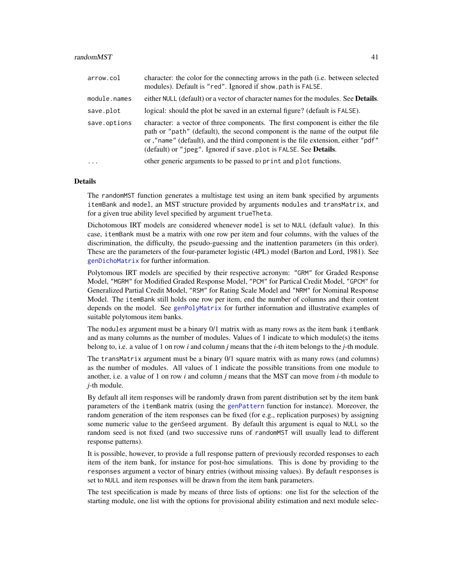#### <span id="page-40-0"></span>randomMST 41

| arrow.col    | character: the color for the connecting arrows in the path (i.e. between selected<br>modules). Default is "red". Ignored if show.path is FALSE.                                                                                                                                                                           |
|--------------|---------------------------------------------------------------------------------------------------------------------------------------------------------------------------------------------------------------------------------------------------------------------------------------------------------------------------|
| module.names | either NULL (default) or a vector of character names for the modules. See <b>Details</b> .                                                                                                                                                                                                                                |
| save.plot    | logical: should the plot be saved in an external figure? (default is FALSE).                                                                                                                                                                                                                                              |
| save.options | character: a vector of three components. The first component is either the file<br>path or "path" (default), the second component is the name of the output file<br>or ,"name" (default), and the third component is the file extension, either "pdf"<br>(default) or "jpeg". Ignored if save.plot is FALSE. See Details. |
| $\ddotsc$    | other generic arguments to be passed to print and plot functions.                                                                                                                                                                                                                                                         |

#### Details

The randomMST function generates a multistage test using an item bank specified by arguments itemBank and model, an MST structure provided by arguments modules and transMatrix, and for a given true ability level specified by argument trueTheta.

Dichotomous IRT models are considered whenever model is set to NULL (default value). In this case, itemBank must be a matrix with one row per item and four columns, with the values of the discrimination, the difficulty, the pseudo-guessing and the inattention parameters (in this order). These are the parameters of the four-parameter logistic (4PL) model (Barton and Lord, 1981). See [genDichoMatrix](#page-7-1) for further information.

Polytomous IRT models are specified by their respective acronym: "GRM" for Graded Response Model, "MGRM" for Modified Graded Response Model, "PCM" for Partical Credit Model, "GPCM" for Generalized Partial Credit Model, "RSM" for Rating Scale Model and "NRM" for Nominal Response Model. The itemBank still holds one row per item, end the number of columns and their content depends on the model. See [genPolyMatrix](#page-12-1) for further information and illustrative examples of suitable polytomous item banks.

The modules argument must be a binary 0/1 matrix with as many rows as the item bank itemBank and as many columns as the number of modules. Values of 1 indicate to which module(s) the items belong to, i.e. a value of 1 on row *i* and column *j* means that the *i*-th item belongs to the *j*-th module.

The transMatrix argument must be a binary 0/1 square matrix with as many rows (and columns) as the number of modules. All values of 1 indicate the possible transitions from one module to another, i.e. a value of 1 on row *i* and column *j* means that the MST can move from *i*-th module to *j*-th module.

By default all item responses will be randomly drawn from parent distribution set by the item bank parameters of the itemBank matrix (using the [genPattern](#page-10-1) function for instance). Moreover, the random generation of the item responses can be fixed (for e.g., replication purposes) by assigning some numeric value to the genSeed argument. By default this argument is equal to NULL so the random seed is not fixed (and two successive runs of randomMST will usually lead to different response patterns).

It is possible, however, to provide a full response pattern of previously recorded responses to each item of the item bank, for instance for post-hoc simulations. This is done by providing to the responses argument a vector of binary entries (without missing values). By default responses is set to NULL and item responses will be drawn from the item bank parameters.

The test specification is made by means of three lists of options: one list for the selection of the starting module, one list with the options for provisional ability estimation and next module selec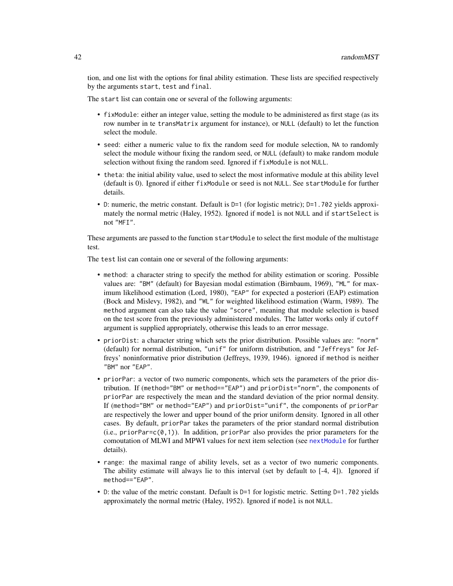<span id="page-41-0"></span>tion, and one list with the options for final ability estimation. These lists are specified respectively by the arguments start, test and final.

The start list can contain one or several of the following arguments:

- fixModule: either an integer value, setting the module to be administered as first stage (as its row number in te transMatrix argument for instance), or NULL (default) to let the function select the module.
- seed: either a numeric value to fix the random seed for module selection, NA to randomly select the module withour fixing the random seed, or NULL (default) to make random module selection without fixing the random seed. Ignored if fixModule is not NULL.
- theta: the initial ability value, used to select the most informative module at this ability level (default is 0). Ignored if either fixModule or seed is not NULL. See startModule for further details.
- D: numeric, the metric constant. Default is D=1 (for logistic metric); D=1.702 yields approximately the normal metric (Haley, 1952). Ignored if model is not NULL and if startSelect is not "MFI".

These arguments are passed to the function startModule to select the first module of the multistage test.

The test list can contain one or several of the following arguments:

- method: a character string to specify the method for ability estimation or scoring. Possible values are: "BM" (default) for Bayesian modal estimation (Birnbaum, 1969), "ML" for maximum likelihood estimation (Lord, 1980), "EAP" for expected a posteriori (EAP) estimation (Bock and Mislevy, 1982), and "WL" for weighted likelihood estimation (Warm, 1989). The method argument can also take the value "score", meaning that module selection is based on the test score from the previously administered modules. The latter works only if cutoff argument is supplied appropriately, otherwise this leads to an error message.
- priorDist: a character string which sets the prior distribution. Possible values are: "norm" (default) for normal distribution, "unif" for uniform distribution, and "Jeffreys" for Jeffreys' noninformative prior distribution (Jeffreys, 1939, 1946). ignored if method is neither "BM" nor "EAP".
- priorPar: a vector of two numeric components, which sets the parameters of the prior distribution. If (method="BM" or method=="EAP") and priorDist="norm", the components of priorPar are respectively the mean and the standard deviation of the prior normal density. If (method="BM" or method="EAP") and priorDist="unif", the components of priorPar are respectively the lower and upper bound of the prior uniform density. Ignored in all other cases. By default, priorPar takes the parameters of the prior standard normal distribution  $(i.e., priorPar=c(0,1))$ . In addition, priorPar also provides the prior parameters for the comoutation of MLWI and MPWI values for next item selection (see [nextModule](#page-30-1) for further details).
- range: the maximal range of ability levels, set as a vector of two numeric components. The ability estimate will always lie to this interval (set by default to  $[-4, 4]$ ). Ignored if method=="EAP".
- D: the value of the metric constant. Default is D=1 for logistic metric. Setting D=1.702 yields approximately the normal metric (Haley, 1952). Ignored if model is not NULL.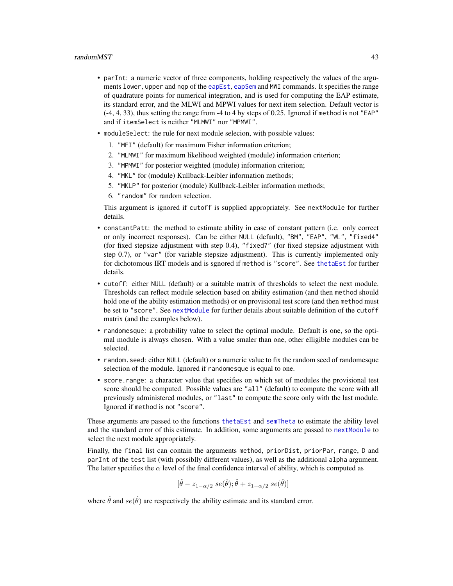- <span id="page-42-0"></span>• parInt: a numeric vector of three components, holding respectively the values of the arguments lower, upper and nqp of the [eapEst](#page-1-1), [eapSem](#page-4-1) and MWI commands. It specifies the range of quadrature points for numerical integration, and is used for computing the EAP estimate, its standard error, and the MLWI and MPWI values for next item selection. Default vector is (-4, 4, 33), thus setting the range from -4 to 4 by steps of 0.25. Ignored if method is not "EAP" and if itemSelect is neither "MLMWI" nor "MPMWI".
- moduleSelect: the rule for next module selecion, with possible values:
	- 1. "MFI" (default) for maximum Fisher information criterion;
	- 2. "MLMWI" for maximum likelihood weighted (module) information criterion;
	- 3. "MPMWI" for posterior weighted (module) information criterion;
	- 4. "MKL" for (module) Kullback-Leibler information methods;
	- 5. "MKLP" for posterior (module) Kullback-Leibler information methods;
	- 6. "random" for random selection.

This argument is ignored if cutoff is supplied appropriately. See nextModule for further details.

- constantPatt: the method to estimate ability in case of constant pattern (i.e. only correct or only incorrect responses). Can be either NULL (default), "BM", "EAP", "WL", "fixed4" (for fixed stepsize adjustment with step 0.4), "fixed7" (for fixed stepsize adjustment with step 0.7), or "var" (for variable stepsize adjustment). This is currently implemented only for dichotomous IRT models and is sgnored if method is "score". See [thetaEst](#page-58-1) for further details.
- cutoff: either NULL (default) or a suitable matrix of thresholds to select the next module. Thresholds can reflect module selection based on ability estimation (and then method should hold one of the ability estimation methods) or on provisional test score (and then method must be set to "score". See [nextModule](#page-30-1) for further details about suitable definition of the cutoff matrix (and the examples below).
- randomesque: a probability value to select the optimal module. Default is one, so the optimal module is always chosen. With a value smaler than one, other elligible modules can be selected.
- random.seed: either NULL (default) or a numeric value to fix the random seed of randomesque selection of the module. Ignored if randomesque is equal to one.
- score.range: a character value that specifies on which set of modules the provisional test score should be computed. Possible values are "all" (default) to compute the score with all previously administered modules, or "last" to compute the score only with the last module. Ignored if method is not "score".

These arguments are passed to the functions [thetaEst](#page-58-1) and [semTheta](#page-47-1) to estimate the ability level and the standard error of this estimate. In addition, some arguments are passed to [nextModule](#page-30-1) to select the next module appropriately.

Finally, the final list can contain the arguments method, priorDist, priorPar, range, D and parInt of the test list (with possiblly different values), as well as the additional alpha argument. The latter specifies the  $\alpha$  level of the final confidence interval of ability, which is computed as

$$
[\hat{\theta} - z_{1-\alpha/2} \; s e(\hat{\theta}); \hat{\theta} + z_{1-\alpha/2} \; s e(\hat{\theta})]
$$

where  $\hat{\theta}$  and  $se(\hat{\theta})$  are respectively the ability estimate and its standard error.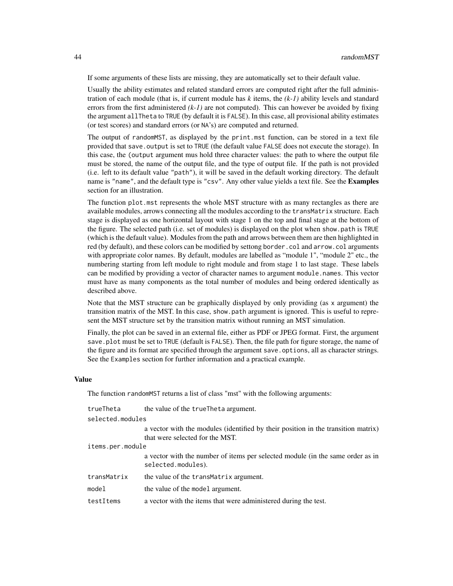If some arguments of these lists are missing, they are automatically set to their default value.

Usually the ability estimates and related standard errors are computed right after the full administration of each module (that is, if current module has *k* items, the *(k-1)* ability levels and standard errors from the first administered *(k-1)* are not computed). This can however be avoided by fixing the argument allTheta to TRUE (by default it is FALSE). In this case, all provisional ability estimates (or test scores) and standard errors (or NA's) are computed and returned.

The output of randomMST, as displayed by the print.mst function, can be stored in a text file provided that save. output is set to TRUE (the default value FALSE does not execute the storage). In this case, the (output argument mus hold three character values: the path to where the output file must be stored, the name of the output file, and the type of output file. If the path is not provided (i.e. left to its default value "path"), it will be saved in the default working directory. The default name is "name", and the default type is "csv". Any other value yields a text file. See the **Examples** section for an illustration.

The function plot.mst represents the whole MST structure with as many rectangles as there are available modules, arrows connecting all the modules according to the transMatrix structure. Each stage is displayed as one horizontal layout with stage 1 on the top and final stage at the bottom of the figure. The selected path (i.e. set of modules) is displayed on the plot when show.path is TRUE (which is the default value). Modules from the path and arrows between them are then highlighted in red (by default), and these colors can be modified by settong border.col and arrow.col arguments with appropriate color names. By default, modules are labelled as "module 1", "module 2" etc., the numbering starting from left module to right module and from stage 1 to last stage. These labels can be modified by providing a vector of character names to argument module.names. This vector must have as many components as the total number of modules and being ordered identically as described above.

Note that the MST structure can be graphically displayed by only providing (as x argument) the transition matrix of the MST. In this case, show.path argument is ignored. This is useful to represent the MST structure set by the transition matrix without running an MST simulation.

Finally, the plot can be saved in an external file, either as PDF or JPEG format. First, the argument save.plot must be set to TRUE (default is FALSE). Then, the file path for figure storage, the name of the figure and its format are specified through the argument save.options, all as character strings. See the Examples section for further information and a practical example.

# Value

The function randomMST returns a list of class "mst" with the following arguments:

| trueTheta        | the value of the true Theta argument.                                                                                |  |
|------------------|----------------------------------------------------------------------------------------------------------------------|--|
| selected.modules |                                                                                                                      |  |
|                  | a vector with the modules (identified by their position in the transition matrix)<br>that were selected for the MST. |  |
| items.per.module |                                                                                                                      |  |
|                  | a vector with the number of items per selected module (in the same order as in<br>selected.modules).                 |  |
| transMatrix      | the value of the transmatrix argument.                                                                               |  |
| model            | the value of the model argument.                                                                                     |  |
| testItems        | a vector with the items that were administered during the test.                                                      |  |
|                  |                                                                                                                      |  |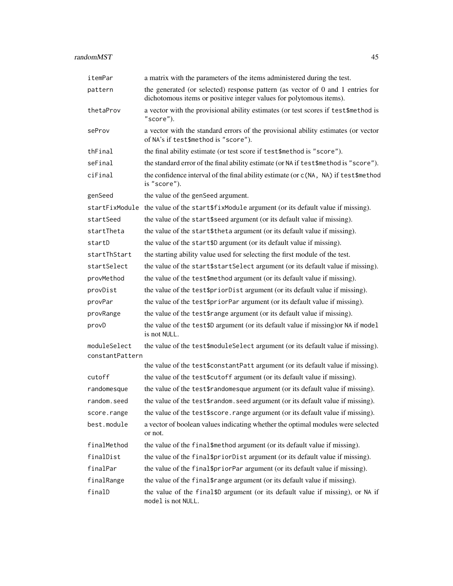| itemPar                         | a matrix with the parameters of the items administered during the test.                                                                               |
|---------------------------------|-------------------------------------------------------------------------------------------------------------------------------------------------------|
| pattern                         | the generated (or selected) response pattern (as vector of 0 and 1 entries for<br>dichotomous items or positive integer values for polytomous items). |
| thetaProv                       | a vector with the provisional ability estimates (or test scores if test\$method is<br>"score").                                                       |
| seProv                          | a vector with the standard errors of the provisional ability estimates (or vector<br>of NA's if test\$method is "score").                             |
| thFinal                         | the final ability estimate (or test score if test\$method is "score").                                                                                |
| seFinal                         | the standard error of the final ability estimate (or NA if test\$method is "score").                                                                  |
| ciFinal                         | the confidence interval of the final ability estimate (or c(NA, NA) if test\$method<br>is "score").                                                   |
| genSeed                         | the value of the genSeed argument.                                                                                                                    |
| startFixModule                  | the value of the start \$fixModule argument (or its default value if missing).                                                                        |
| startSeed                       | the value of the start\$seed argument (or its default value if missing).                                                                              |
| startTheta                      | the value of the start\$theta argument (or its default value if missing).                                                                             |
| startD                          | the value of the start\$D argument (or its default value if missing).                                                                                 |
| startThStart                    | the starting ability value used for selecting the first module of the test.                                                                           |
| startSelect                     | the value of the start\$startSelect argument (or its default value if missing).                                                                       |
| provMethod                      | the value of the test\$method argument (or its default value if missing).                                                                             |
| provDist                        | the value of the test\$priorDist argument (or its default value if missing).                                                                          |
| provPar                         | the value of the test\$priorPar argument (or its default value if missing).                                                                           |
| provRange                       | the value of the test\$range argument (or its default value if missing).                                                                              |
| provD                           | the value of the test\$D argument (or its default value if missing) or NA if model<br>is not NULL.                                                    |
| moduleSelect<br>constantPattern | the value of the test\$moduleSelect argument (or its default value if missing).                                                                       |
|                                 | the value of the test\$constantPatt argument (or its default value if missing).                                                                       |
| cutoff                          | the value of the test \$cutoff argument (or its default value if missing).                                                                            |
| randomesque                     | the value of the test\$randomesque argument (or its default value if missing).                                                                        |
| random.seed                     | the value of the test\$random.seed argument (or its default value if missing).                                                                        |
| score.range                     | the value of the test\$score.range argument (or its default value if missing).                                                                        |
| best.module                     | a vector of boolean values indicating whether the optimal modules were selected<br>or not.                                                            |
| finalMethod                     | the value of the final\$method argument (or its default value if missing).                                                                            |
| finalDist                       | the value of the final \$priorDist argument (or its default value if missing).                                                                        |
| finalPar                        | the value of the final \$priorPar argument (or its default value if missing).                                                                         |
| finalRange                      | the value of the final \$range argument (or its default value if missing).                                                                            |
| finalD                          | the value of the final \$D argument (or its default value if missing), or NA if<br>model is not NULL.                                                 |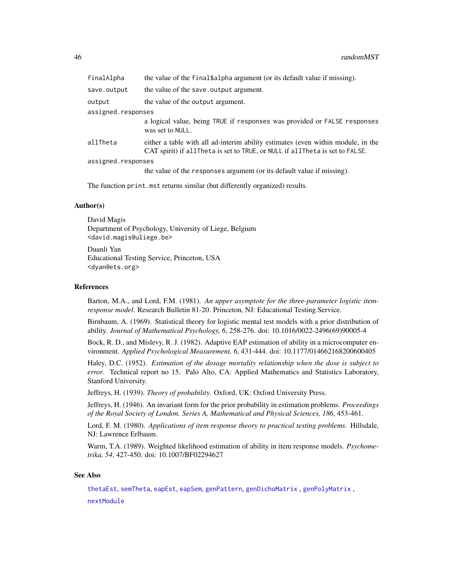<span id="page-45-0"></span>

| finalAlpha         | the value of the final \$alpha argument (or its default value if missing).                                                                                       |
|--------------------|------------------------------------------------------------------------------------------------------------------------------------------------------------------|
| save.output        | the value of the save. output argument.                                                                                                                          |
| output             | the value of the output argument.                                                                                                                                |
| assigned.responses |                                                                                                                                                                  |
|                    | a logical value, being TRUE if responses was provided or FALSE responses<br>was set to NULL.                                                                     |
| allTheta           | either a table with all ad-interim ability estimates (even within module, in the<br>CAT spirit) if allTheta is set to TRUE, or NULL if allTheta is set to FALSE. |
| assigned.responses |                                                                                                                                                                  |
|                    | the value of the responses argument (or its default value if missing).                                                                                           |
|                    |                                                                                                                                                                  |

The function print.mst returns similar (but differently organized) results.

# Author(s)

David Magis Department of Psychology, University of Liege, Belgium <david.magis@uliege.be>

Duanli Yan Educational Testing Service, Princeton, USA <dyan@ets.org>

#### References

Barton, M.A., and Lord, F.M. (1981). *An upper asymptote for the three-parameter logistic itemresponse model*. Research Bulletin 81-20. Princeton, NJ: Educational Testing Service.

Birnbaum, A. (1969). Statistical theory for logistic mental test models with a prior distribution of ability. *Journal of Mathematical Psychology, 6*, 258-276. doi: 10.1016/0022-2496(69)90005-4

Bock, R. D., and Mislevy, R. J. (1982). Adaptive EAP estimation of ability in a microcomputer environment. *Applied Psychological Measurement, 6*, 431-444. doi: 10.1177/014662168200600405

Haley, D.C. (1952). *Estimation of the dosage mortality relationship when the dose is subject to error*. Technical report no 15. Palo Alto, CA: Applied Mathematics and Statistics Laboratory, Stanford University.

Jeffreys, H. (1939). *Theory of probability*. Oxford, UK: Oxford University Press.

Jeffreys, H. (1946). An invariant form for the prior probability in estimation problems. *Proceedings of the Royal Society of London. Series A, Mathematical and Physical Sciences, 186*, 453-461.

Lord, F. M. (1980). *Applications of item response theory to practical testing problems*. Hillsdale, NJ: Lawrence Erlbaum.

Warm, T.A. (1989). Weighted likelihood estimation of ability in item response models. *Psychometrika, 54*, 427-450. doi: 10.1007/BF02294627

# See Also

[thetaEst](#page-58-1), [semTheta](#page-47-1), [eapEst](#page-1-1), [eapSem](#page-4-1), [genPattern](#page-10-1), [genDichoMatrix](#page-7-1) , [genPolyMatrix](#page-12-1) , [nextModule](#page-30-1)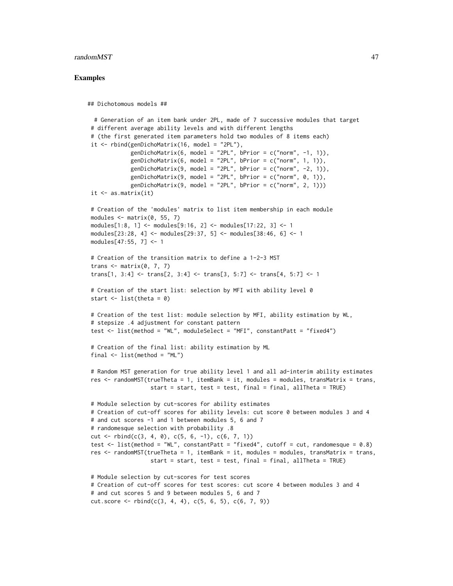#### randomMST and  $47$

#### Examples

```
## Dichotomous models ##
 # Generation of an item bank under 2PL, made of 7 successive modules that target
# different average ability levels and with different lengths
# (the first generated item parameters hold two modules of 8 items each)
it \le rbind(genDichoMatrix(16, model = "2PL"),
            genDichoMatrix(6, model = "2PL", bPrior = c("norm", -1, 1)),
            genDichoMatrix(6, model = "2PL", bPrior = c("norm", 1, 1)),
            genDichoMatrix(9, model = "2PL", bPrior = c("norm", -2, 1)),
            genDichoMatrix(9, model = "2PL", bPrior = c("norm", 0, 1)),
            genDichomatrix(9, model = "2PL", bPrior = c("norm", 2, 1)))it \leftarrow as.matrix(it)# Creation of the 'modules' matrix to list item membership in each module
modules \leq matrix(0, 55, 7)
modules[1:8, 1] <- modules[9:16, 2] <- modules[17:22, 3] <- 1
modules[23:28, 4] <- modules[29:37, 5] <- modules[38:46, 6] <- 1
modules[47:55, 7] <- 1
# Creation of the transition matrix to define a 1-2-3 MST
trans \leq matrix(0, 7, 7)
trans[1, 3:4] <- trans[2, 3:4] <- trans[3, 5:7] <- trans[4, 5:7] <- 1
# Creation of the start list: selection by MFI with ability level 0
start \leq - list(theta = 0)
# Creation of the test list: module selection by MFI, ability estimation by WL,
# stepsize .4 adjustment for constant pattern
test <- list(method = "WL", moduleSelect = "MFI", constantPatt = "fixed4")
# Creation of the final list: ability estimation by ML
final \le list(method = "ML")
# Random MST generation for true ability level 1 and all ad-interim ability estimates
res <- randomMST(trueTheta = 1, itemBank = it, modules = modules, transMatrix = trans,
                   start = start, test = test, final = final, allTheta = TRUE)
# Module selection by cut-scores for ability estimates
# Creation of cut-off scores for ability levels: cut score 0 between modules 3 and 4
# and cut scores -1 and 1 between modules 5, 6 and 7
# randomesque selection with probability .8
cut \le rbind(c(3, 4, 0), c(5, 6, -1), c(6, 7, 1))
test \le list(method = "WL", constantPatt = "fixed4", cutoff = cut, randomesque = 0.8)
res <- randomMST(trueTheta = 1, itemBank = it, modules = modules, transMatrix = trans,
                   start = start, test = test, final = final, allTheta = TRUE)
# Module selection by cut-scores for test scores
# Creation of cut-off scores for test scores: cut score 4 between modules 3 and 4
# and cut scores 5 and 9 between modules 5, 6 and 7
cut.score \leq rbind(c(3, 4, 4), c(5, 6, 5), c(6, 7, 9))
```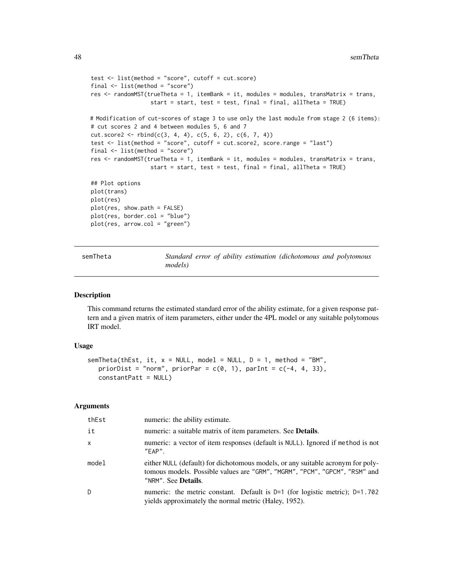```
test <- list(method = "score", cutoff = cut.score)
final <- list(method = "score")
res <- randomMST(trueTheta = 1, itemBank = it, modules = modules, transMatrix = trans,
                  start = start, test = test, final = final, allTheta = TRUE)
# Modification of cut-scores of stage 3 to use only the last module from stage 2 (6 items):
# cut scores 2 and 4 between modules 5, 6 and 7
cut.score2 \leq -rbind(c(3, 4, 4), c(5, 6, 2), c(6, 7, 4))test <- list(method = "score", cutoff = cut.score2, score.range = "last")
final <- list(method = "score")
res <- randomMST(trueTheta = 1, itemBank = it, modules = modules, transMatrix = trans,
                  start = start, test = test, final = final, allTheta = TRUE)
## Plot options
plot(trans)
plot(res)
plot(res, show.path = FALSE)
plot(res, border.col = "blue")
plot(res, arrow.col = "green")
```
<span id="page-47-1"></span>semTheta *Standard error of ability estimation (dichotomous and polytomous models)*

#### Description

This command returns the estimated standard error of the ability estimate, for a given response pattern and a given matrix of item parameters, either under the 4PL model or any suitable polytomous IRT model.

# Usage

```
semTheta(thEst, it, x = NULL, model = NULL, D = 1, method = "BM",priorDist = "norm", priorPar = c(\emptyset, 1), parInt = c(-4, 4, 33),
   constantPatt = NULL)
```
#### Arguments

| thEst        | numeric: the ability estimate.                                                                                                                                                               |
|--------------|----------------------------------------------------------------------------------------------------------------------------------------------------------------------------------------------|
| it           | numeric: a suitable matrix of item parameters. See <b>Details</b> .                                                                                                                          |
| $\mathsf{x}$ | numeric: a vector of item responses (default is NULL). Ignored if method is not<br>$"FAP"$ .                                                                                                 |
| model        | either NULL (default) for dichotomous models, or any suitable acronym for poly-<br>tomous models. Possible values are "GRM", "MGRM", "PCM", "GPCM", "RSM" and<br>"NRM". See <b>Details</b> . |
| D            | numeric: the metric constant. Default is $D=1$ (for logistic metric); $D=1.702$<br>yields approximately the normal metric (Haley, 1952).                                                     |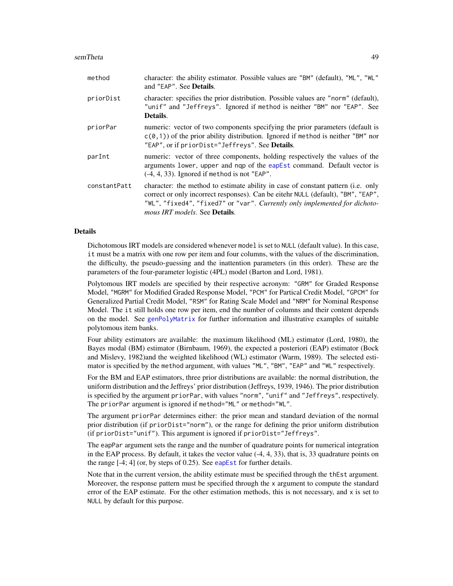#### <span id="page-48-0"></span>semTheta 49

| method       | character: the ability estimator. Possible values are "BM" (default), "ML", "WL"<br>and "EAP". See <b>Details</b> .                                                                                                                                                                                |
|--------------|----------------------------------------------------------------------------------------------------------------------------------------------------------------------------------------------------------------------------------------------------------------------------------------------------|
| priorDist    | character: specifies the prior distribution. Possible values are "norm" (default),<br>"unif" and "Jeffreys". Ignored if method is neither "BM" nor "EAP". See<br>Details.                                                                                                                          |
| priorPar     | numeric: vector of two components specifying the prior parameters (default is<br>$c(0,1)$ of the prior ability distribution. Ignored if method is neither "BM" nor<br>"EAP", or if priorDist="Jeffreys". See Details.                                                                              |
| parInt       | numeric: vector of three components, holding respectively the values of the<br>arguments lower, upper and nqp of the eapEst command. Default vector is<br>$(-4, 4, 33)$ . Ignored if method is not "EAP".                                                                                          |
| constantPatt | character: the method to estimate ability in case of constant pattern (i.e. only<br>correct or only incorrect responses). Can be eitehr NULL (default), "BM", "EAP",<br>"WL", "fixed4", "fixed7" or "var". Currently only implemented for dichoto-<br><i>mous IRT models.</i> See <b>Details</b> . |

#### Details

Dichotomous IRT models are considered whenever model is set to NULL (default value). In this case, it must be a matrix with one row per item and four columns, with the values of the discrimination, the difficulty, the pseudo-guessing and the inattention parameters (in this order). These are the parameters of the four-parameter logistic (4PL) model (Barton and Lord, 1981).

Polytomous IRT models are specified by their respective acronym: "GRM" for Graded Response Model, "MGRM" for Modified Graded Response Model, "PCM" for Partical Credit Model, "GPCM" for Generalized Partial Credit Model, "RSM" for Rating Scale Model and "NRM" for Nominal Response Model. The it still holds one row per item, end the number of columns and their content depends on the model. See [genPolyMatrix](#page-12-1) for further information and illustrative examples of suitable polytomous item banks.

Four ability estimators are available: the maximum likelihood (ML) estimator (Lord, 1980), the Bayes modal (BM) estimator (Birnbaum, 1969), the expected a posteriori (EAP) estimator (Bock and Mislevy, 1982)and the weighted likelihood (WL) estimator (Warm, 1989). The selected estimator is specified by the method argument, with values "ML", "BM", "EAP" and "WL" respectively.

For the BM and EAP estimators, three prior distributions are available: the normal distribution, the uniform distribution and the Jeffreys' prior distribution (Jeffreys, 1939, 1946). The prior distribution is specified by the argument priorPar, with values "norm", "unif" and "Jeffreys", respectively. The priorPar argument is ignored if method="ML" or method="WL".

The argument priorPar determines either: the prior mean and standard deviation of the normal prior distribution (if priorDist="norm"), or the range for defining the prior uniform distribution (if priorDist="unif"). This argument is ignored if priorDist="Jeffreys".

The eapPar argument sets the range and the number of quadrature points for numerical integration in the EAP process. By default, it takes the vector value (-4, 4, 33), that is, 33 quadrature points on the range  $[-4; 4]$  (or, by steps of 0.25). See [eapEst](#page-1-1) for further details.

Note that in the current version, the ability estimate must be specified through the thEst argument. Moreover, the response pattern must be specified through the x argument to compute the standard error of the EAP estimate. For the other estimation methods, this is not necessary, and  $x$  is set to NULL by default for this purpose.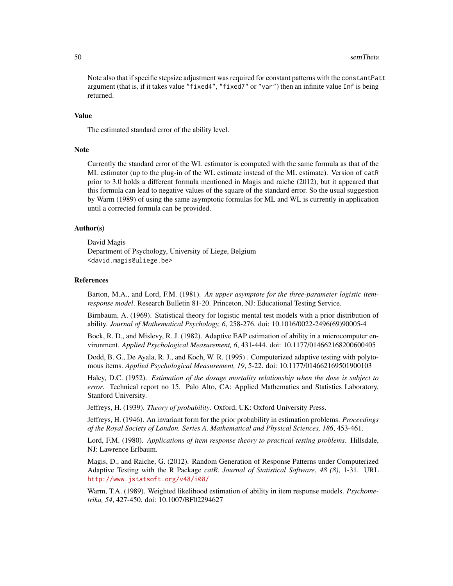Note also that if specific stepsize adjustment was required for constant patterns with the constantPatt argument (that is, if it takes value "fixed4", "fixed7" or "var") then an infinite value Inf is being returned.

# Value

The estimated standard error of the ability level.

#### Note

Currently the standard error of the WL estimator is computed with the same formula as that of the ML estimator (up to the plug-in of the WL estimate instead of the ML estimate). Version of catR prior to 3.0 holds a different formula mentioned in Magis and raiche (2012), but it appeared that this formula can lead to negative values of the square of the standard error. So the usual suggestion by Warm (1989) of using the same asymptotic formulas for ML and WL is currently in application until a corrected formula can be provided.

#### Author(s)

David Magis Department of Psychology, University of Liege, Belgium <david.magis@uliege.be>

#### References

Barton, M.A., and Lord, F.M. (1981). *An upper asymptote for the three-parameter logistic itemresponse model*. Research Bulletin 81-20. Princeton, NJ: Educational Testing Service.

Birnbaum, A. (1969). Statistical theory for logistic mental test models with a prior distribution of ability. *Journal of Mathematical Psychology, 6*, 258-276. doi: 10.1016/0022-2496(69)90005-4

Bock, R. D., and Mislevy, R. J. (1982). Adaptive EAP estimation of ability in a microcomputer environment. *Applied Psychological Measurement, 6*, 431-444. doi: 10.1177/014662168200600405

Dodd, B. G., De Ayala, R. J., and Koch, W. R. (1995) . Computerized adaptive testing with polytomous items. *Applied Psychological Measurement, 19*, 5-22. doi: 10.1177/014662169501900103

Haley, D.C. (1952). *Estimation of the dosage mortality relationship when the dose is subject to error*. Technical report no 15. Palo Alto, CA: Applied Mathematics and Statistics Laboratory, Stanford University.

Jeffreys, H. (1939). *Theory of probability*. Oxford, UK: Oxford University Press.

Jeffreys, H. (1946). An invariant form for the prior probability in estimation problems. *Proceedings of the Royal Society of London. Series A, Mathematical and Physical Sciences, 186*, 453-461.

Lord, F.M. (1980). *Applications of item response theory to practical testing problems*. Hillsdale, NJ: Lawrence Erlbaum.

Magis, D., and Raiche, G. (2012). Random Generation of Response Patterns under Computerized Adaptive Testing with the R Package *catR*. *Journal of Statistical Software*, *48 (8)*, 1-31. URL <http://www.jstatsoft.org/v48/i08/>

Warm, T.A. (1989). Weighted likelihood estimation of ability in item response models. *Psychometrika, 54*, 427-450. doi: 10.1007/BF02294627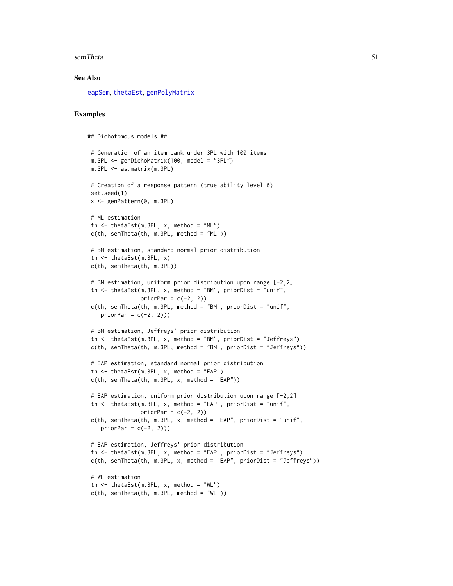#### <span id="page-50-0"></span>semTheta 51

#### See Also

[eapSem](#page-4-1), [thetaEst](#page-58-1), [genPolyMatrix](#page-12-1)

#### Examples

```
## Dichotomous models ##
# Generation of an item bank under 3PL with 100 items
m.3PL <- genDichoMatrix(100, model = "3PL")
m.3PL <- as.matrix(m.3PL)
# Creation of a response pattern (true ability level 0)
set.seed(1)
x <- genPattern(0, m.3PL)
# ML estimation
th \le thetaEst(m.3PL, x, method = "ML")
c(th, semTheta(th, m.3PL, method = "ML"))
# BM estimation, standard normal prior distribution
th <- thetaEst(m.3PL, x)
c(th, semTheta(th, m.3PL))
# BM estimation, uniform prior distribution upon range [-2,2]
th \le thetaEst(m.3PL, x, method = "BM", priorDist = "unif",
               priorPar = c(-2, 2)c(th, semTheta(th, m.3PL, method = "BM", priorDist = "unif",priorPar = c(-2, 2))# BM estimation, Jeffreys' prior distribution
th \le thetaEst(m.3PL, x, method = "BM", priorDist = "Jeffreys")
c(th, semTheta(th, m.3PL, method = "BM", priorDist = "Jeffreys"))
# EAP estimation, standard normal prior distribution
th \le thetaEst(m.3PL, x, method = "EAP")
c(th, semTheta(th, m.3PL, x, method = "EAP"))# EAP estimation, uniform prior distribution upon range [-2,2]
th \le thetaEst(m.3PL, x, method = "EAP", priorDist = "unif",
               priorPar = c(-2, 2)c(th, semTheta(th, m.3PL, x, method = "EAP", priorDist = "unif",priorPar = c(-2, 2))# EAP estimation, Jeffreys' prior distribution
th \le thetaEst(m.3PL, x, method = "EAP", priorDist = "Jeffreys")
c(th, semTheta(th, m.3PL, x, method = "EAP", priorDist = "Jeffreys"))
# WL estimation
th \le thetaEst(m.3PL, x, method = "WL")
c(th, semTheta(th, m.3PL, method = "WL"))
```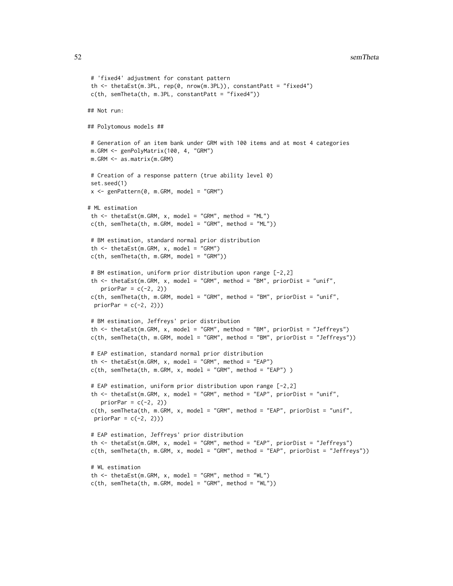```
# 'fixed4' adjustment for constant pattern
 th \le thetaEst(m.3PL, rep(0, nrow(m.3PL)), constantPatt = "fixed4")
c(th, semTheta(th, m.3PL, constantPatt = "fixed4"))
## Not run:
## Polytomous models ##
# Generation of an item bank under GRM with 100 items and at most 4 categories
m.GRM <- genPolyMatrix(100, 4, "GRM")
m.GRM <- as.matrix(m.GRM)
 # Creation of a response pattern (true ability level 0)
set.seed(1)
x \leq genPattern(0, m.GRM, model = "GRM")
# ML estimation
th \le thetaEst(m.GRM, x, model = "GRM", method = "ML")
c(th, semTheta(th, m.GRM, model = "GRM", method = "ML"))# BM estimation, standard normal prior distribution
 th \le thetaEst(m.GRM, x, model = "GRM")
c(th, semTheta(th, m.GRM, model = "GRM")# BM estimation, uniform prior distribution upon range [-2,2]
 th <- thetaEst(m.GRM, x, model = "GRM", method = "BM", priorDist = "unif",
   priorPar = c(-2, 2))
c(th, semTheta(th, m.GRM, model = "GRM", method = "BM", priorDist = "unif",
 priorPar = c(-2, 2))# BM estimation, Jeffreys' prior distribution
 th \le thetaEst(m.GRM, x, model = "GRM", method = "BM", priorDist = "Jeffreys")
 c(th, semTheta(th, m.GRM, model = "GRM", method = "BM", priorDist = "Jeffreys"))
# EAP estimation, standard normal prior distribution
 th \le thetaEst(m.GRM, x, model = "GRM", method = "EAP")
c(th, semTheta(th, m.GRM, x, model = "GRM", method = "EAP"))
 # EAP estimation, uniform prior distribution upon range [-2,2]
 th \le thetaEst(m.GRM, x, model = "GRM", method = "EAP", priorDist = "unif",
    priorPar = c(-2, 2))
c(th, semTheta(th, m.GRM, x, model = "GRM", method = "EAP", priorDist = "unif",
 priorPar = c(-2, 2))# EAP estimation, Jeffreys' prior distribution
 th <- thetaEst(m.GRM, x, model = "GRM", method = "EAP", priorDist = "Jeffreys")
c(th, semTheta(th, m.GRM, x, model = "GRM", method = "EAP", priorDist = "Jeffreys"))# WL estimation
 th \le thetaEst(m.GRM, x, model = "GRM", method = "WL")
c(th, semTheta(th, m.GRM, model = "GRM", method = "WL")
```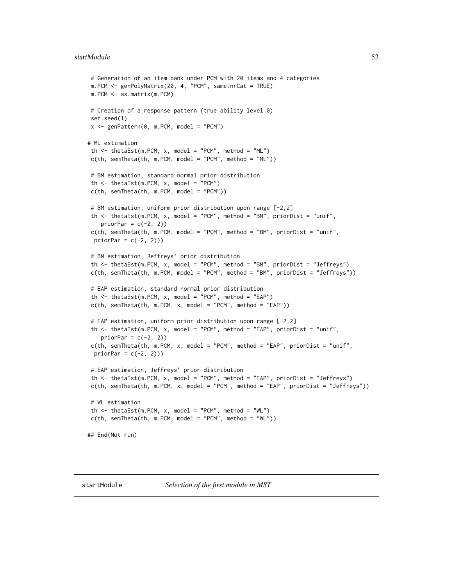#### <span id="page-52-0"></span>startModule 53

```
# Generation of an item bank under PCM with 20 items and 4 categories
m.PCM <- genPolyMatrix(20, 4, "PCM", same.nrCat = TRUE)
m.PCM <- as.matrix(m.PCM)
# Creation of a response pattern (true ability level 0)
set.seed(1)
x \leq genPattern(0, m.PCM, model = "PCM")
# ML estimation
th \le thetaEst(m.PCM, x, model = "PCM", method = "ML")
c(th, semTheta(th, m.PCM, model = "PCM", method = "ML"))# BM estimation, standard normal prior distribution
 th \le thetaEst(m.PCM, x, model = "PCM")
c(th, semTheta(th, m.PCM, model = "PCM"))
 # BM estimation, uniform prior distribution upon range [-2,2]
 th <- thetaEst(m.PCM, x, model = "PCM", method = "BM", priorDist = "unif",
   priorPar = c(-2, 2)c(th, semTheta(th, m.PCM, model = "PCM", method = "BM", priorDist = "unif",
 priorPar = c(-2, 2))# BM estimation, Jeffreys' prior distribution
 th <- thetaEst(m.PCM, x, model = "PCM", method = "BM", priorDist = "Jeffreys")
 c(th, semTheta(th, m.PCM, model = "PCM", method = "BM", priorDist = "Jeffreys"))
 # EAP estimation, standard normal prior distribution
 th \le thetaEst(m.PCM, x, model = "PCM", method = "EAP")
c(th, semTheta(th, m.PCM, x, model = "PCM", method = "EAP"))# EAP estimation, uniform prior distribution upon range [-2,2]
 th <- thetaEst(m.PCM, x, model = "PCM", method = "EAP", priorDist = "unif",
   priorPar = c(-2, 2))
 c(th, semTheta(th, m.PCM, x, model = "PCM", method = "EAP", priorDist = "unif",priorPar = c(-2, 2))# EAP estimation, Jeffreys' prior distribution
 th <- thetaEst(m.PCM, x, model = "PCM", method = "EAP", priorDist = "Jeffreys")
c(th, semTheta(th, m.PCM, x, model = "PCM", method = "EAP", priorDist = "Jeffreys"))
 # WL estimation
th \le thetaEst(m.PCM, x, model = "PCM", method = "WL")
c(th, semTheta(th, m.PCM, model = "PCM", method = "WL")## End(Not run)
```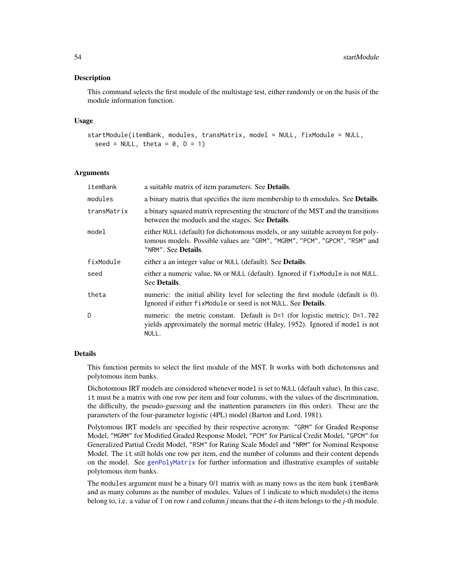#### <span id="page-53-0"></span>Description

This command selects the first module of the multistage test, either randomly or on the basis of the module information function.

#### Usage

```
startModule(itemBank, modules, transMatrix, model = NULL, fixModule = NULL,
  seed = NULL, theta = 0, D = 1)
```
#### Arguments

| itemBank    | a suitable matrix of item parameters. See Details.                                                                                                                                   |
|-------------|--------------------------------------------------------------------------------------------------------------------------------------------------------------------------------------|
| modules     | a binary matrix that specifies the item membership to the modules. See <b>Details</b> .                                                                                              |
| transMatrix | a binary squared matrix representing the structure of the MST and the transitions<br>between the moduels and the stages. See Details.                                                |
| model       | either NULL (default) for dichotomous models, or any suitable acronym for poly-<br>tomous models. Possible values are "GRM", "MGRM", "PCM", "GPCM", "RSM" and<br>"NRM". See Details. |
| fixModule   | either a an integer value or NULL (default). See <b>Details</b> .                                                                                                                    |
| seed        | either a numeric value, NA or NULL (default). Ignored if fixModule is not NULL.<br>See Details.                                                                                      |
| theta       | numeric: the initial ability level for selecting the first module (default is 0).<br>Ignored if either fixModule or seed is not NULL. See <b>Details</b> .                           |
| D           | numeric: the metric constant. Default is $D=1$ (for logistic metric); $D=1.702$<br>yields approximately the normal metric (Haley, 1952). Ignored if model is not<br>NULL.            |

#### Details

This function permits to select the first module of the MST. It works with both dichotomous and polytomous item banks.

Dichotomous IRT models are considered whenever model is set to NULL (default value). In this case, it must be a matrix with one row per item and four columns, with the values of the discrimination, the difficulty, the pseudo-guessing and the inattention parameters (in this order). These are the parameters of the four-parameter logistic (4PL) model (Barton and Lord, 1981).

Polytomous IRT models are specified by their respective acronym: "GRM" for Graded Response Model, "MGRM" for Modified Graded Response Model, "PCM" for Partical Credit Model, "GPCM" for Generalized Partial Credit Model, "RSM" for Rating Scale Model and "NRM" for Nominal Response Model. The it still holds one row per item, end the number of columns and their content depends on the model. See [genPolyMatrix](#page-12-1) for further information and illustrative examples of suitable polytomous item banks.

The modules argument must be a binary 0/1 matrix with as many rows as the item bank itemBank and as many columns as the number of modules. Values of 1 indicate to which module(s) the items belong to, i.e. a value of 1 on row *i* and column *j* means that the *i*-th item belongs to the *j*-th module.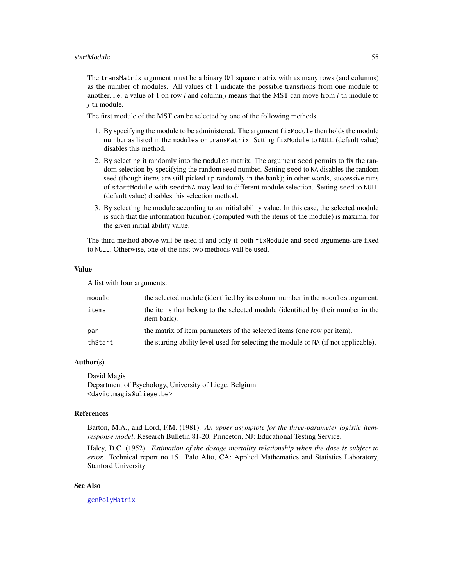#### <span id="page-54-0"></span>startModule 55

The transMatrix argument must be a binary 0/1 square matrix with as many rows (and columns) as the number of modules. All values of 1 indicate the possible transitions from one module to another, i.e. a value of 1 on row *i* and column *j* means that the MST can move from *i*-th module to *j*-th module.

The first module of the MST can be selected by one of the following methods.

- 1. By specifying the module to be administered. The argument fixModule then holds the module number as listed in the modules or transMatrix. Setting fixModule to NULL (default value) disables this method.
- 2. By selecting it randomly into the modules matrix. The argument seed permits to fix the random selection by specifying the random seed number. Setting seed to NA disables the random seed (though items are still picked up randomly in the bank); in other words, successive runs of startModule with seed=NA may lead to different module selection. Setting seed to NULL (default value) disables this selection method.
- 3. By selecting the module according to an initial ability value. In this case, the selected module is such that the information fucntion (computed with the items of the module) is maximal for the given initial ability value.

The third method above will be used if and only if both fixModule and seed arguments are fixed to NULL. Otherwise, one of the first two methods will be used.

#### Value

A list with four arguments:

| module  | the selected module (identified by its column number in the modules argument.                  |
|---------|------------------------------------------------------------------------------------------------|
| items   | the items that belong to the selected module (identified by their number in the<br>item bank). |
| par     | the matrix of item parameters of the selected items (one row per item).                        |
| thStart | the starting ability level used for selecting the module or NA (if not applicable).            |

### Author(s)

David Magis Department of Psychology, University of Liege, Belgium <david.magis@uliege.be>

# References

Barton, M.A., and Lord, F.M. (1981). *An upper asymptote for the three-parameter logistic itemresponse model*. Research Bulletin 81-20. Princeton, NJ: Educational Testing Service.

Haley, D.C. (1952). *Estimation of the dosage mortality relationship when the dose is subject to error.* Technical report no 15. Palo Alto, CA: Applied Mathematics and Statistics Laboratory, Stanford University.

#### See Also

[genPolyMatrix](#page-12-1)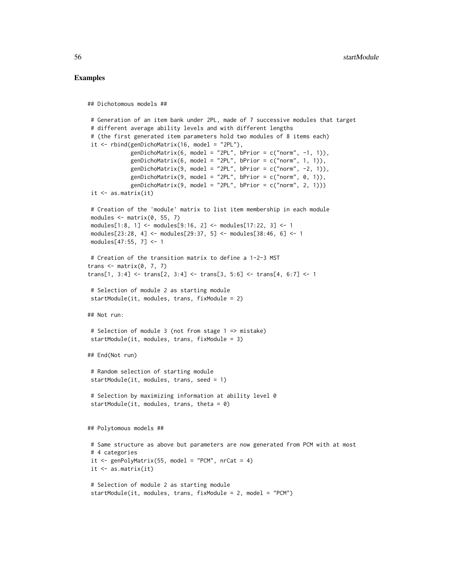#### Examples

```
## Dichotomous models ##
# Generation of an item bank under 2PL, made of 7 successive modules that target
# different average ability levels and with different lengths
# (the first generated item parameters hold two modules of 8 items each)
it \le rbind(genDichoMatrix(16, model = "2PL"),
            genDichoMatrix(6, model = "2PL", bPrior = c("norm", -1, 1)),
            genDichoMatrix(6, model = "2PL", bPrior = c("norm", 1, 1)),genDichoMatrix(9, model = "2PL", bPrior = c("norm", -2, 1)),
            genDichoMatrix(9, model = "2PL", bPrior = c("norm", 0, 1)),
            genDichomatrix(9, model = "2PL", bPrior = c("norm", 2, 1)))it \leftarrow as.matrix(it)# Creation of the 'module' matrix to list item membership in each module
modules \leq matrix(0, 55, 7)
modules[1:8, 1] <- modules[9:16, 2] <- modules[17:22, 3] <- 1
modules[23:28, 4] <- modules[29:37, 5] <- modules[38:46, 6] <- 1
modules[47:55, 7] <- 1
# Creation of the transition matrix to define a 1-2-3 MST
trans \leq matrix(0, 7, 7)
trans[1, 3:4] < -trans[2, 3:4] < -trans[3, 5:6] < -trans[4, 6:7] < -1# Selection of module 2 as starting module
startModule(it, modules, trans, fixModule = 2)
## Not run:
# Selection of module 3 (not from stage 1 => mistake)
startModule(it, modules, trans, fixModule = 3)
## End(Not run)
# Random selection of starting module
startModule(it, modules, trans, seed = 1)
# Selection by maximizing information at ability level 0
startModule(it, modules, trans, theta = 0)
## Polytomous models ##
# Same structure as above but parameters are now generated from PCM with at most
# 4 categories
it \leq genPolyMatrix(55, model = "PCM", nrCat = 4)
it \leq as.matrix(it)
# Selection of module 2 as starting module
startModule(it, modules, trans, fixModule = 2, model = "PCM")
```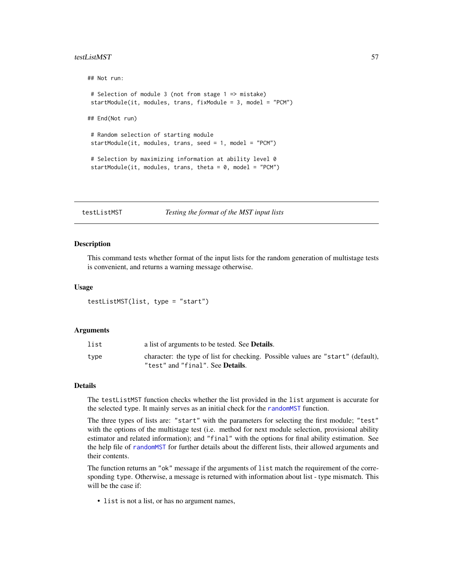#### <span id="page-56-0"></span>testListMST 57

```
## Not run:
# Selection of module 3 (not from stage 1 => mistake)
startModule(it, modules, trans, fixModule = 3, model = "PCM")
## End(Not run)
# Random selection of starting module
startModule(it, modules, trans, seed = 1, model = "PCM")
# Selection by maximizing information at ability level 0
startModule(it, modules, trans, theta = 0, model = "PCM")
```
testListMST *Testing the format of the MST input lists*

#### Description

This command tests whether format of the input lists for the random generation of multistage tests is convenient, and returns a warning message otherwise.

#### Usage

testListMST(list, type = "start")

# Arguments

| list | a list of arguments to be tested. See <b>Details</b> .                                                                       |
|------|------------------------------------------------------------------------------------------------------------------------------|
| type | character: the type of list for checking. Possible values are "start" (default),<br>"test" and "final". See <b>Details</b> . |

#### Details

The testListMST function checks whether the list provided in the list argument is accurate for the selected type. It mainly serves as an initial check for the [randomMST](#page-38-1) function.

The three types of lists are: "start" with the parameters for selecting the first module; "test" with the options of the multistage test (i.e. method for next module selection, provisional ability estimator and related information); and "final" with the options for final ability estimation. See the help file of [randomMST](#page-38-1) for further details about the different lists, their allowed arguments and their contents.

The function returns an "ok" message if the arguments of list match the requirement of the corresponding type. Otherwise, a message is returned with information about list - type mismatch. This will be the case if:

• list is not a list, or has no argument names,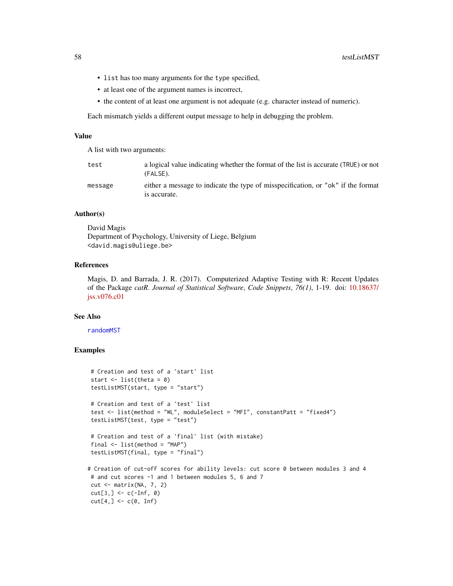- <span id="page-57-0"></span>• list has too many arguments for the type specified,
- at least one of the argument names is incorrect,
- the content of at least one argument is not adequate (e.g. character instead of numeric).

Each mismatch yields a different output message to help in debugging the problem.

# Value

A list with two arguments:

| test    | a logical value indicating whether the format of the list is accurate (TRUE) or not<br>(FALSE).  |
|---------|--------------------------------------------------------------------------------------------------|
| message | either a message to indicate the type of misspecification, or "ok" if the format<br>is accurate. |

# Author(s)

David Magis Department of Psychology, University of Liege, Belgium <david.magis@uliege.be>

#### References

Magis, D. and Barrada, J. R. (2017). Computerized Adaptive Testing with R: Recent Updates of the Package *catR*. *Journal of Statistical Software*, *Code Snippets*, *76(1)*, 1-19. doi: [10.18637/](http://doi.org/10.18637/jss.v076.c01) [jss.v076.c01](http://doi.org/10.18637/jss.v076.c01)

# See Also

# [randomMST](#page-38-1)

# Examples

```
# Creation and test of a 'start' list
start \le list(theta = 0)
testListMST(start, type = "start")
# Creation and test of a 'test' list
test <- list(method = "WL", moduleSelect = "MFI", constantPatt = "fixed4")
testListMST(test, type = "test")
# Creation and test of a 'final' list (with mistake)
final \leq list(method = "MAP")
testListMST(final, type = "final")
# Creation of cut-off scores for ability levels: cut score 0 between modules 3 and 4
# and cut scores -1 and 1 between modules 5, 6 and 7
cut <- matrix(NA, 7, 2)
cut[3, ] \leftarrow c(-Inf, 0)cut[4, ] \leftarrow c(0, Inf)
```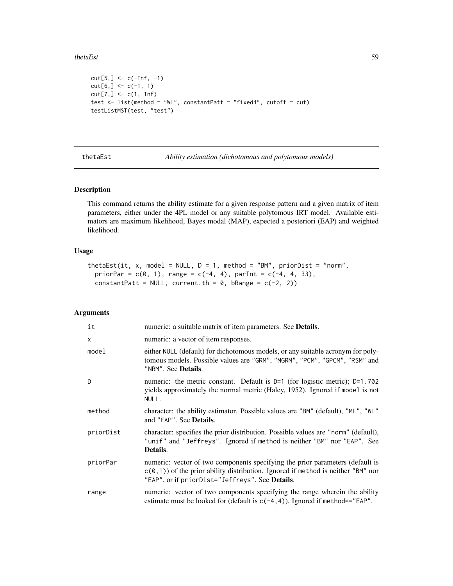#### <span id="page-58-0"></span>thetaEst 59

```
cut[5,] < -c(-Inf, -1)cut[6, ] \leq c(-1, 1)cut[7, ] \leftarrow c(1, Inf)test <- list(method = "WL", constantPatt = "fixed4", cutoff = cut)
testListMST(test, "test")
```
<span id="page-58-1"></span>thetaEst *Ability estimation (dichotomous and polytomous models)*

### Description

This command returns the ability estimate for a given response pattern and a given matrix of item parameters, either under the 4PL model or any suitable polytomous IRT model. Available estimators are maximum likelihood, Bayes modal (MAP), expected a posteriori (EAP) and weighted likelihood.

# Usage

```
thetaEst(it, x, model = NULL, D = 1, method = "BM", priorDist = "norm",
 priorPar = c(0, 1), range = c(-4, 4), parInt = c(-4, 4, 33),
 constantPatt = NULL, current.th = 0, bRange = c(-2, 2))
```
# Arguments

| it        | numeric: a suitable matrix of item parameters. See Details.                                                                                                                                                           |
|-----------|-----------------------------------------------------------------------------------------------------------------------------------------------------------------------------------------------------------------------|
| X         | numeric: a vector of item responses.                                                                                                                                                                                  |
| model     | either NULL (default) for dichotomous models, or any suitable acronym for poly-<br>tomous models. Possible values are "GRM", "MGRM", "PCM", "GPCM", "RSM" and<br>"NRM". See <b>Details</b> .                          |
| D         | numeric: the metric constant. Default is $D=1$ (for logistic metric); $D=1.702$<br>yields approximately the normal metric (Haley, 1952). Ignored if model is not<br>NULL.                                             |
| method    | character: the ability estimator. Possible values are "BM" (default), "ML", "WL"<br>and "EAP". See Details.                                                                                                           |
| priorDist | character: specifies the prior distribution. Possible values are "norm" (default),<br>"unif" and "Jeffreys". Ignored if method is neither "BM" nor "EAP". See<br>Details.                                             |
| priorPar  | numeric: vector of two components specifying the prior parameters (default is<br>$c(0,1)$ of the prior ability distribution. Ignored if method is neither "BM" nor<br>"EAP", or if priorDist="Jeffreys". See Details. |
| range     | numeric: vector of two components specifying the range wherein the ability<br>estimate must be looked for (default is $c(-4, 4)$ ). Ignored if method=="EAP".                                                         |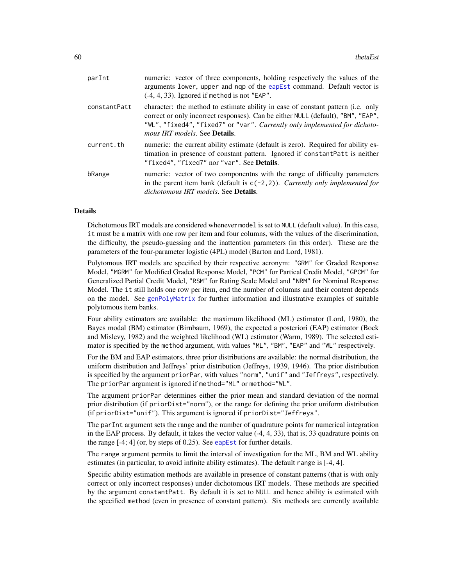<span id="page-59-0"></span>

| parInt       | numeric: vector of three components, holding respectively the values of the<br>arguments lower, upper and nqp of the eapEst command. Default vector is<br>$(-4, 4, 33)$ . Ignored if method is not "EAP".                                                                                          |
|--------------|----------------------------------------------------------------------------------------------------------------------------------------------------------------------------------------------------------------------------------------------------------------------------------------------------|
| constantPatt | character: the method to estimate ability in case of constant pattern (i.e. only<br>correct or only incorrect responses). Can be either NULL (default), "BM", "EAP",<br>"WL", "fixed4", "fixed7" or "var". Currently only implemented for dichoto-<br><i>mous IRT models.</i> See <b>Details</b> . |
| current.th   | numeric: the current ability estimate (default is zero). Required for ability es-<br>timation in presence of constant pattern. Ignored if constantPatt is neither<br>"fixed4", "fixed7" nor "var". See Details.                                                                                    |
| bRange       | numeric: vector of two component with the range of difficulty parameters<br>in the parent item bank (default is $c(-2, 2)$ ). Currently only implemented for<br><i>dichotomous IRT models.</i> See <b>Details</b> .                                                                                |
|              |                                                                                                                                                                                                                                                                                                    |

# Details

Dichotomous IRT models are considered whenever model is set to NULL (default value). In this case, it must be a matrix with one row per item and four columns, with the values of the discrimination, the difficulty, the pseudo-guessing and the inattention parameters (in this order). These are the parameters of the four-parameter logistic (4PL) model (Barton and Lord, 1981).

Polytomous IRT models are specified by their respective acronym: "GRM" for Graded Response Model, "MGRM" for Modified Graded Response Model, "PCM" for Partical Credit Model, "GPCM" for Generalized Partial Credit Model, "RSM" for Rating Scale Model and "NRM" for Nominal Response Model. The it still holds one row per item, end the number of columns and their content depends on the model. See [genPolyMatrix](#page-12-1) for further information and illustrative examples of suitable polytomous item banks.

Four ability estimators are available: the maximum likelihood (ML) estimator (Lord, 1980), the Bayes modal (BM) estimator (Birnbaum, 1969), the expected a posteriori (EAP) estimator (Bock and Mislevy, 1982) and the weighted likelihood (WL) estimator (Warm, 1989). The selected estimator is specified by the method argument, with values "ML", "BM", "EAP" and "WL" respectively.

For the BM and EAP estimators, three prior distributions are available: the normal distribution, the uniform distribution and Jeffreys' prior distribution (Jeffreys, 1939, 1946). The prior distribution is specified by the argument priorPar, with values "norm", "unif" and "Jeffreys", respectively. The priorPar argument is ignored if method="ML" or method="WL".

The argument priorPar determines either the prior mean and standard deviation of the normal prior distribution (if priorDist="norm"), or the range for defining the prior uniform distribution (if priorDist="unif"). This argument is ignored if priorDist="Jeffreys".

The parInt argument sets the range and the number of quadrature points for numerical integration in the EAP process. By default, it takes the vector value (-4, 4, 33), that is, 33 quadrature points on the range [-4; 4] (or, by steps of 0.25). See [eapEst](#page-1-1) for further details.

The range argument permits to limit the interval of investigation for the ML, BM and WL ability estimates (in particular, to avoid infinite ability estimates). The default range is [-4, 4].

Specific ability estimation methods are available in presence of constant patterns (that is with only correct or only incorrect responses) under dichotomous IRT models. These methods are specified by the argument constantPatt. By default it is set to NULL and hence ability is estimated with the specified method (even in presence of constant pattern). Six methods are currently available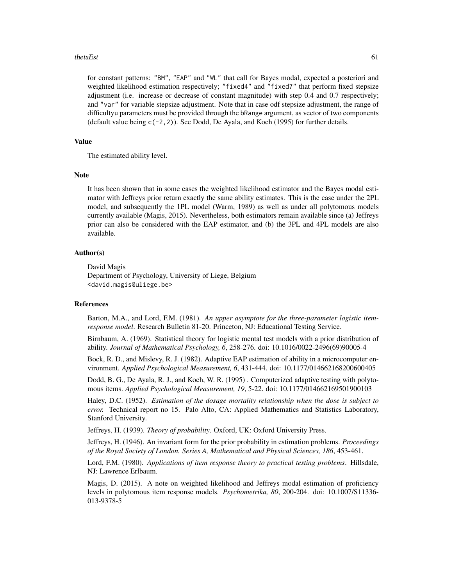#### thetaEst 61

for constant patterns: "BM", "EAP" and "WL" that call for Bayes modal, expected a posteriori and weighted likelihood estimation respectively; "fixed4" and "fixed7" that perform fixed stepsize adjustment (i.e. increase or decrease of constant magnitude) with step 0.4 and 0.7 respectively; and "var" for variable stepsize adjustment. Note that in case odf stepsize adjustment, the range of difficultyu parameters must be provided through the bRange argument, as vector of two components (default value being c(-2,2)). See Dodd, De Ayala, and Koch (1995) for further details.

#### Value

The estimated ability level.

#### Note

It has been shown that in some cases the weighted likelihood estimator and the Bayes modal estimator with Jeffreys prior return exactly the same ability estimates. This is the case under the 2PL model, and subsequently the 1PL model (Warm, 1989) as well as under all polytomous models currently available (Magis, 2015). Nevertheless, both estimators remain available since (a) Jeffreys prior can also be considered with the EAP estimator, and (b) the 3PL and 4PL models are also available.

# Author(s)

David Magis Department of Psychology, University of Liege, Belgium <david.magis@uliege.be>

#### References

Barton, M.A., and Lord, F.M. (1981). *An upper asymptote for the three-parameter logistic itemresponse model*. Research Bulletin 81-20. Princeton, NJ: Educational Testing Service.

Birnbaum, A. (1969). Statistical theory for logistic mental test models with a prior distribution of ability. *Journal of Mathematical Psychology, 6*, 258-276. doi: 10.1016/0022-2496(69)90005-4

Bock, R. D., and Mislevy, R. J. (1982). Adaptive EAP estimation of ability in a microcomputer environment. *Applied Psychological Measurement, 6*, 431-444. doi: 10.1177/014662168200600405

Dodd, B. G., De Ayala, R. J., and Koch, W. R. (1995) . Computerized adaptive testing with polytomous items. *Applied Psychological Measurement, 19*, 5-22. doi: 10.1177/014662169501900103

Haley, D.C. (1952). *Estimation of the dosage mortality relationship when the dose is subject to error.* Technical report no 15. Palo Alto, CA: Applied Mathematics and Statistics Laboratory, Stanford University.

Jeffreys, H. (1939). *Theory of probability*. Oxford, UK: Oxford University Press.

Jeffreys, H. (1946). An invariant form for the prior probability in estimation problems. *Proceedings of the Royal Society of London. Series A, Mathematical and Physical Sciences, 186*, 453-461.

Lord, F.M. (1980). *Applications of item response theory to practical testing problems*. Hillsdale, NJ: Lawrence Erlbaum.

Magis, D. (2015). A note on weighted likelihood and Jeffreys modal estimation of proficiency levels in polytomous item response models. *Psychometrika, 80*, 200-204. doi: 10.1007/S11336- 013-9378-5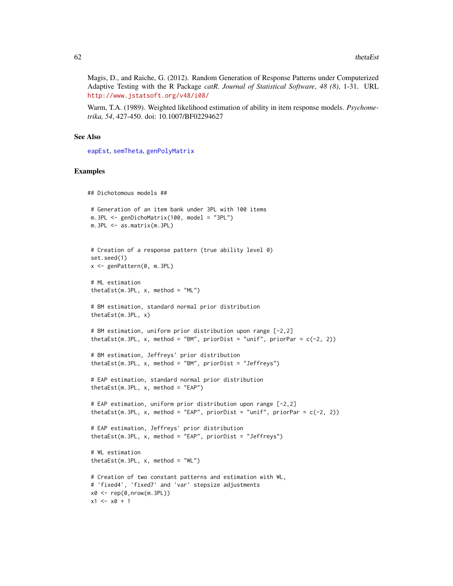<span id="page-61-0"></span>Magis, D., and Raiche, G. (2012). Random Generation of Response Patterns under Computerized Adaptive Testing with the R Package *catR*. *Journal of Statistical Software*, *48 (8)*, 1-31. URL <http://www.jstatsoft.org/v48/i08/>

Warm, T.A. (1989). Weighted likelihood estimation of ability in item response models. *Psychometrika, 54*, 427-450. doi: 10.1007/BF02294627

#### See Also

[eapEst](#page-1-1), [semTheta](#page-47-1), [genPolyMatrix](#page-12-1)

#### Examples

```
## Dichotomous models ##
# Generation of an item bank under 3PL with 100 items
m.3PL <- genDichoMatrix(100, model = "3PL")
m.3PL <- as.matrix(m.3PL)
# Creation of a response pattern (true ability level 0)
set.seed(1)
x <- genPattern(0, m.3PL)
# ML estimation
thetaEst(m.3PL, x, method = "ML")
# BM estimation, standard normal prior distribution
thetaEst(m.3PL, x)
# BM estimation, uniform prior distribution upon range [-2,2]
thetaEst(m.3PL, x, method = "BM", priorDist = "unif", priorPar = c(-2, 2))
# BM estimation, Jeffreys' prior distribution
thetaEst(m.3PL, x, method = "BM", priorDist = "Jeffreys")
# EAP estimation, standard normal prior distribution
thetaEst(m.3PL, x, method = "EAP")
# EAP estimation, uniform prior distribution upon range [-2,2]
thetaEst(m.3PL, x, method = "EAP", priorDist = "unif", priorPar = c(-2, 2))
# EAP estimation, Jeffreys' prior distribution
thetaEst(m.3PL, x, method = "EAP", priorDist = "Jeffreys")
# WL estimation
thetaEst(m.3PL, x, method = "WL")# Creation of two constant patterns and estimation with WL,
# 'fixed4', 'fixed7' and 'var' stepsize adjustments
x0 \leq -\text{rep}(0, nrow(m.3PL))x1 \le x0 + 1
```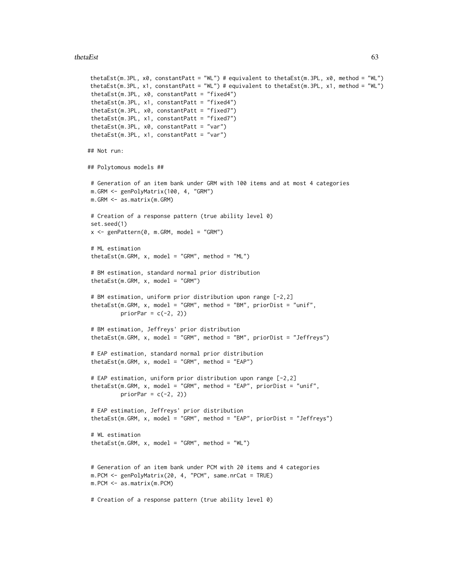#### thetaEst 63

```
thetaEst(m.3PL, x0, constantPatt = "WL") # equivalent to thetaEst(m.3PL, x0, method = "WL")
thetaEst(m.3PL, x1, constantPatt = "WL") # equivalent to thetaEst(m.3PL, x1, method = "WL")
thetaEst(m.3PL, x0, constantPatt = "fixed4")
thetaEst(m.3PL, x1, constantPatt = "fixed4")
thetaEst(m.3PL, x0, constantPatt = "fixed7")
thetaEst(m.3PL, x1, constantPatt = "fixed7")
thetaEst(m.3PL, x0, constantPatt = "var")
thetaEst(m.3PL, x1, constantPatt = "var")
## Not run:
## Polytomous models ##
# Generation of an item bank under GRM with 100 items and at most 4 categories
m.GRM <- genPolyMatrix(100, 4, "GRM")
m.GRM <- as.matrix(m.GRM)
# Creation of a response pattern (true ability level 0)
set.seed(1)
x \leq genPattern(0, m.GRM, model = "GRM")
# ML estimation
thetaEst(m.GRM, x, model = "GRM", method = "ML")
# BM estimation, standard normal prior distribution
thetaEst(m.GRM, x, model = "GRM")
# BM estimation, uniform prior distribution upon range [-2,2]
thetaEst(m.GRM, x, model = "GRM", method = "BM", priorDist = "unif",
         priorPar = c(-2, 2))
# BM estimation, Jeffreys' prior distribution
thetaEst(m.GRM, x, model = "GRM", method = "BM", priorDist = "Jeffreys")
# EAP estimation, standard normal prior distribution
thetaEst(m.GRM, x, model = "GRM", method = "EAP")
# EAP estimation, uniform prior distribution upon range [-2,2]
thetaEst(m.GRM, x, model = "GRM", method = "EAP", priorDist = "unif",
          priorPar = c(-2, 2)# EAP estimation, Jeffreys' prior distribution
thetaEst(m.GRM, x, model = "GRM", method = "EAP", priorDist = "Jeffreys")
# WL estimation
thetaEst(m.GRM, x, model = "GRM", method = "WL")
# Generation of an item bank under PCM with 20 items and 4 categories
m.PCM <- genPolyMatrix(20, 4, "PCM", same.nrCat = TRUE)
m.PCM <- as.matrix(m.PCM)
# Creation of a response pattern (true ability level 0)
```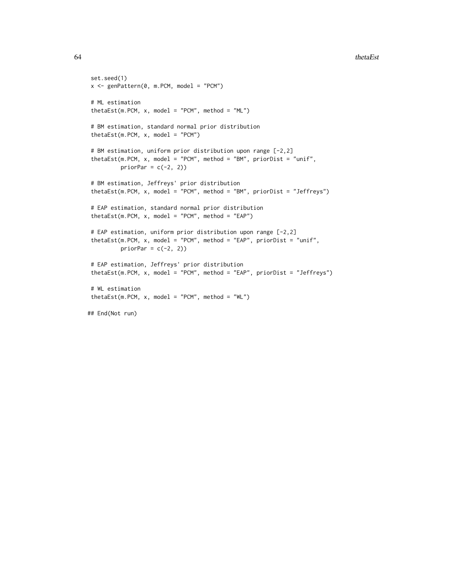```
64 thetaEst thetaEst thetaEst thetaEst thetaEst thetaEst thetaEst thetaEst thetaEst thetaEst thetaEst thetaEst
```

```
set.seed(1)
x \le - genPattern(0, m.PCM, model = "PCM")
# ML estimation
thetaEst(m.PCM, x, model = "PCM", method = "ML")
# BM estimation, standard normal prior distribution
thetaEst(m.PCM, x, model = "PCM")
# BM estimation, uniform prior distribution upon range [-2,2]
thetaEst(m.PCM, x, model = "PCM", method = "BM", priorDist = "unif",
         priorPar = c(-2, 2)# BM estimation, Jeffreys' prior distribution
thetaEst(m.PCM, x, model = "PCM", method = "BM", priorDist = "Jeffreys")
# EAP estimation, standard normal prior distribution
thetaEst(m.PCM, x, model = "PCM", method = "EAP")# EAP estimation, uniform prior distribution upon range [-2,2]
thetaEst(m.PCM, x, model = "PCM", method = "EAP", priorDist = "unif",
         priorPar = c(-2, 2))
# EAP estimation, Jeffreys' prior distribution
thetaEst(m.PCM, x, model = "PCM", method = "EAP", priorDist = "Jeffreys")
# WL estimation
thetaEst(m.PCM, x, model = "PCM", method = "WL")
## End(Not run)
```